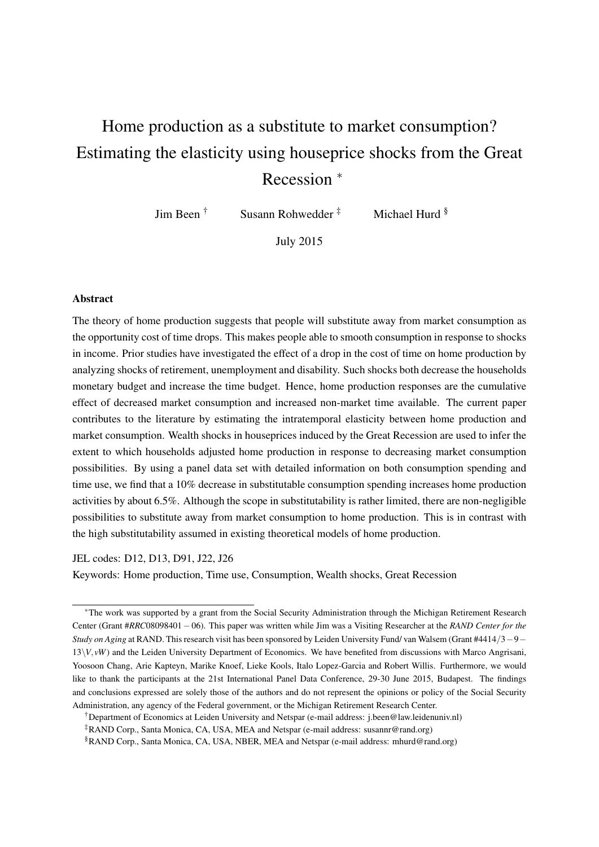# Home production as a substitute to market consumption? Estimating the elasticity using houseprice shocks from the Great Recession <sup>∗</sup>

Jim Been † Susann Rohwedder ‡ Michael Hurd §

July 2015

#### Abstract

The theory of home production suggests that people will substitute away from market consumption as the opportunity cost of time drops. This makes people able to smooth consumption in response to shocks in income. Prior studies have investigated the effect of a drop in the cost of time on home production by analyzing shocks of retirement, unemployment and disability. Such shocks both decrease the households monetary budget and increase the time budget. Hence, home production responses are the cumulative effect of decreased market consumption and increased non-market time available. The current paper contributes to the literature by estimating the intratemporal elasticity between home production and market consumption. Wealth shocks in houseprices induced by the Great Recession are used to infer the extent to which households adjusted home production in response to decreasing market consumption possibilities. By using a panel data set with detailed information on both consumption spending and time use, we find that a 10% decrease in substitutable consumption spending increases home production activities by about 6.5%. Although the scope in substitutability is rather limited, there are non-negligible possibilities to substitute away from market consumption to home production. This is in contrast with the high substitutability assumed in existing theoretical models of home production.

JEL codes: D12, D13, D91, J22, J26

Keywords: Home production, Time use, Consumption, Wealth shocks, Great Recession

†Department of Economics at Leiden University and Netspar (e-mail address: j.been@law.leidenuniv.nl)

‡RAND Corp., Santa Monica, CA, USA, MEA and Netspar (e-mail address: susannr@rand.org)

§RAND Corp., Santa Monica, CA, USA, NBER, MEA and Netspar (e-mail address: mhurd@rand.org)

<sup>∗</sup>The work was supported by a grant from the Social Security Administration through the Michigan Retirement Research Center (Grant #*RRC*08098401−06). This paper was written while Jim was a Visiting Researcher at the *RAND Center for the Study on Aging* at RAND. This research visit has been sponsored by Leiden University Fund/ van Walsem (Grant #4414/3−9−  $13\V$ ,  $\nu$ *W*) and the Leiden University Department of Economics. We have benefited from discussions with Marco Angrisani, Yoosoon Chang, Arie Kapteyn, Marike Knoef, Lieke Kools, Italo Lopez-Garcia and Robert Willis. Furthermore, we would like to thank the participants at the 21st International Panel Data Conference, 29-30 June 2015, Budapest. The findings and conclusions expressed are solely those of the authors and do not represent the opinions or policy of the Social Security Administration, any agency of the Federal government, or the Michigan Retirement Research Center.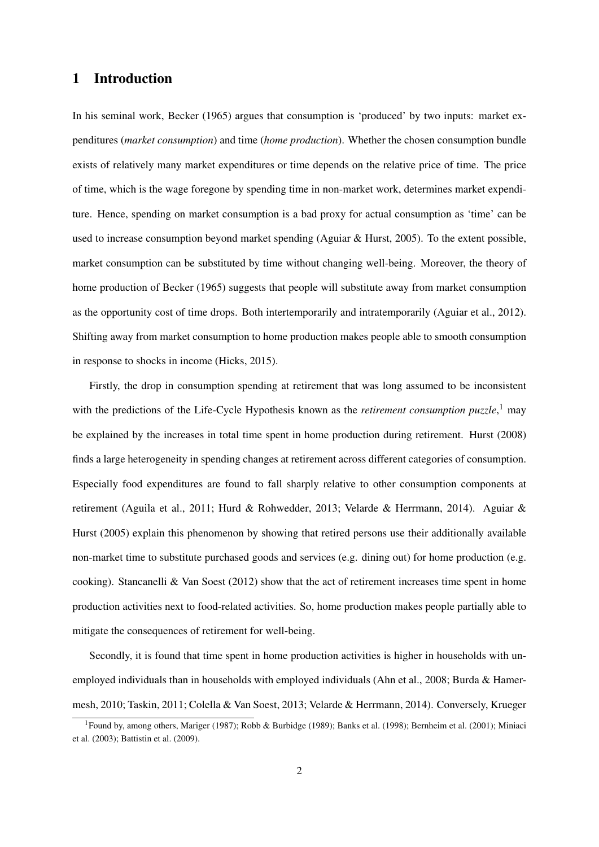# 1 Introduction

In his seminal work, Becker (1965) argues that consumption is 'produced' by two inputs: market expenditures (*market consumption*) and time (*home production*). Whether the chosen consumption bundle exists of relatively many market expenditures or time depends on the relative price of time. The price of time, which is the wage foregone by spending time in non-market work, determines market expenditure. Hence, spending on market consumption is a bad proxy for actual consumption as 'time' can be used to increase consumption beyond market spending (Aguiar & Hurst, 2005). To the extent possible, market consumption can be substituted by time without changing well-being. Moreover, the theory of home production of Becker (1965) suggests that people will substitute away from market consumption as the opportunity cost of time drops. Both intertemporarily and intratemporarily (Aguiar et al., 2012). Shifting away from market consumption to home production makes people able to smooth consumption in response to shocks in income (Hicks, 2015).

Firstly, the drop in consumption spending at retirement that was long assumed to be inconsistent with the predictions of the Life-Cycle Hypothesis known as the *retirement consumption puzzle*, <sup>1</sup> may be explained by the increases in total time spent in home production during retirement. Hurst (2008) finds a large heterogeneity in spending changes at retirement across different categories of consumption. Especially food expenditures are found to fall sharply relative to other consumption components at retirement (Aguila et al., 2011; Hurd & Rohwedder, 2013; Velarde & Herrmann, 2014). Aguiar & Hurst (2005) explain this phenomenon by showing that retired persons use their additionally available non-market time to substitute purchased goods and services (e.g. dining out) for home production (e.g. cooking). Stancanelli & Van Soest (2012) show that the act of retirement increases time spent in home production activities next to food-related activities. So, home production makes people partially able to mitigate the consequences of retirement for well-being.

Secondly, it is found that time spent in home production activities is higher in households with unemployed individuals than in households with employed individuals (Ahn et al., 2008; Burda & Hamermesh, 2010; Taskin, 2011; Colella & Van Soest, 2013; Velarde & Herrmann, 2014). Conversely, Krueger

<sup>1</sup>Found by, among others, Mariger (1987); Robb & Burbidge (1989); Banks et al. (1998); Bernheim et al. (2001); Miniaci et al. (2003); Battistin et al. (2009).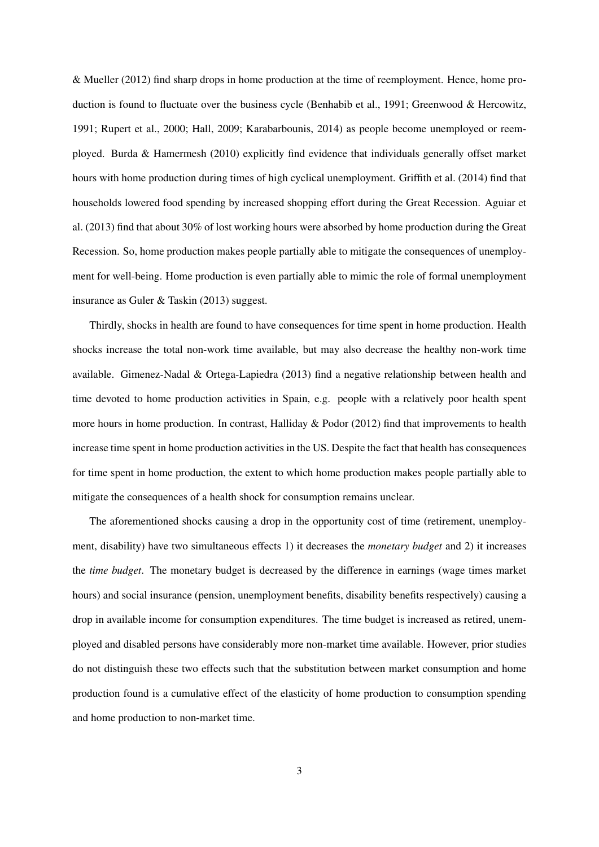& Mueller (2012) find sharp drops in home production at the time of reemployment. Hence, home production is found to fluctuate over the business cycle (Benhabib et al., 1991; Greenwood & Hercowitz, 1991; Rupert et al., 2000; Hall, 2009; Karabarbounis, 2014) as people become unemployed or reemployed. Burda & Hamermesh (2010) explicitly find evidence that individuals generally offset market hours with home production during times of high cyclical unemployment. Griffith et al. (2014) find that households lowered food spending by increased shopping effort during the Great Recession. Aguiar et al. (2013) find that about 30% of lost working hours were absorbed by home production during the Great Recession. So, home production makes people partially able to mitigate the consequences of unemployment for well-being. Home production is even partially able to mimic the role of formal unemployment insurance as Guler & Taskin (2013) suggest.

Thirdly, shocks in health are found to have consequences for time spent in home production. Health shocks increase the total non-work time available, but may also decrease the healthy non-work time available. Gimenez-Nadal & Ortega-Lapiedra (2013) find a negative relationship between health and time devoted to home production activities in Spain, e.g. people with a relatively poor health spent more hours in home production. In contrast, Halliday & Podor (2012) find that improvements to health increase time spent in home production activities in the US. Despite the fact that health has consequences for time spent in home production, the extent to which home production makes people partially able to mitigate the consequences of a health shock for consumption remains unclear.

The aforementioned shocks causing a drop in the opportunity cost of time (retirement, unemployment, disability) have two simultaneous effects 1) it decreases the *monetary budget* and 2) it increases the *time budget*. The monetary budget is decreased by the difference in earnings (wage times market hours) and social insurance (pension, unemployment benefits, disability benefits respectively) causing a drop in available income for consumption expenditures. The time budget is increased as retired, unemployed and disabled persons have considerably more non-market time available. However, prior studies do not distinguish these two effects such that the substitution between market consumption and home production found is a cumulative effect of the elasticity of home production to consumption spending and home production to non-market time.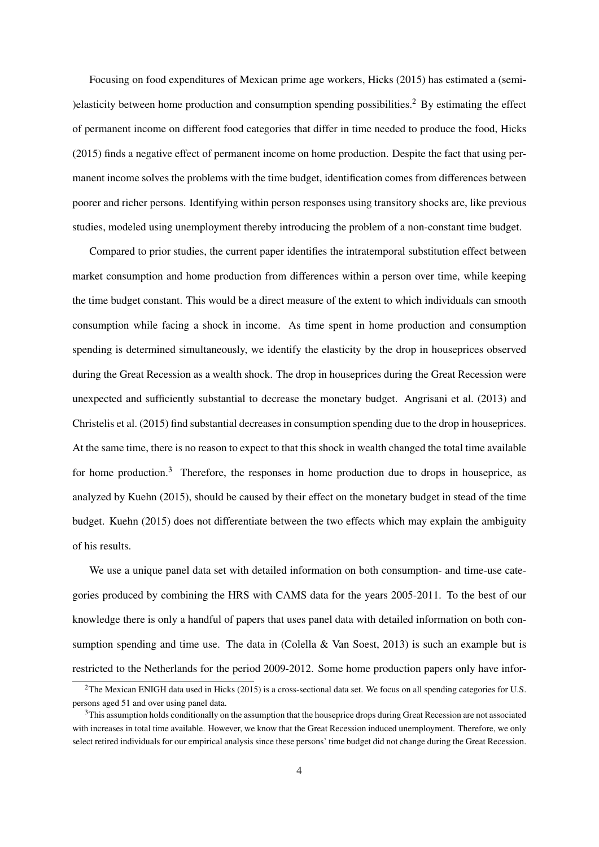Focusing on food expenditures of Mexican prime age workers, Hicks (2015) has estimated a (semi- )elasticity between home production and consumption spending possibilities.<sup>2</sup> By estimating the effect of permanent income on different food categories that differ in time needed to produce the food, Hicks (2015) finds a negative effect of permanent income on home production. Despite the fact that using permanent income solves the problems with the time budget, identification comes from differences between poorer and richer persons. Identifying within person responses using transitory shocks are, like previous studies, modeled using unemployment thereby introducing the problem of a non-constant time budget.

Compared to prior studies, the current paper identifies the intratemporal substitution effect between market consumption and home production from differences within a person over time, while keeping the time budget constant. This would be a direct measure of the extent to which individuals can smooth consumption while facing a shock in income. As time spent in home production and consumption spending is determined simultaneously, we identify the elasticity by the drop in houseprices observed during the Great Recession as a wealth shock. The drop in houseprices during the Great Recession were unexpected and sufficiently substantial to decrease the monetary budget. Angrisani et al. (2013) and Christelis et al. (2015) find substantial decreases in consumption spending due to the drop in houseprices. At the same time, there is no reason to expect to that this shock in wealth changed the total time available for home production.<sup>3</sup> Therefore, the responses in home production due to drops in houseprice, as analyzed by Kuehn (2015), should be caused by their effect on the monetary budget in stead of the time budget. Kuehn (2015) does not differentiate between the two effects which may explain the ambiguity of his results.

We use a unique panel data set with detailed information on both consumption- and time-use categories produced by combining the HRS with CAMS data for the years 2005-2011. To the best of our knowledge there is only a handful of papers that uses panel data with detailed information on both consumption spending and time use. The data in (Colella & Van Soest, 2013) is such an example but is restricted to the Netherlands for the period 2009-2012. Some home production papers only have infor-

<sup>&</sup>lt;sup>2</sup>The Mexican ENIGH data used in Hicks (2015) is a cross-sectional data set. We focus on all spending categories for U.S. persons aged 51 and over using panel data.

<sup>&</sup>lt;sup>3</sup>This assumption holds conditionally on the assumption that the houseprice drops during Great Recession are not associated with increases in total time available. However, we know that the Great Recession induced unemployment. Therefore, we only select retired individuals for our empirical analysis since these persons' time budget did not change during the Great Recession.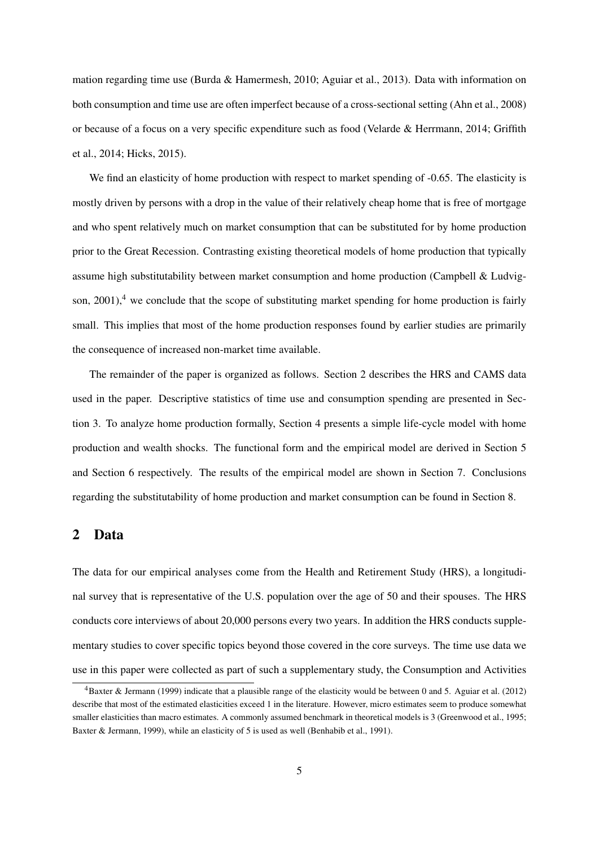mation regarding time use (Burda & Hamermesh, 2010; Aguiar et al., 2013). Data with information on both consumption and time use are often imperfect because of a cross-sectional setting (Ahn et al., 2008) or because of a focus on a very specific expenditure such as food (Velarde & Herrmann, 2014; Griffith et al., 2014; Hicks, 2015).

We find an elasticity of home production with respect to market spending of -0.65. The elasticity is mostly driven by persons with a drop in the value of their relatively cheap home that is free of mortgage and who spent relatively much on market consumption that can be substituted for by home production prior to the Great Recession. Contrasting existing theoretical models of home production that typically assume high substitutability between market consumption and home production (Campbell & Ludvigson,  $2001$ ,<sup>4</sup> we conclude that the scope of substituting market spending for home production is fairly small. This implies that most of the home production responses found by earlier studies are primarily the consequence of increased non-market time available.

The remainder of the paper is organized as follows. Section 2 describes the HRS and CAMS data used in the paper. Descriptive statistics of time use and consumption spending are presented in Section 3. To analyze home production formally, Section 4 presents a simple life-cycle model with home production and wealth shocks. The functional form and the empirical model are derived in Section 5 and Section 6 respectively. The results of the empirical model are shown in Section 7. Conclusions regarding the substitutability of home production and market consumption can be found in Section 8.

## 2 Data

The data for our empirical analyses come from the Health and Retirement Study (HRS), a longitudinal survey that is representative of the U.S. population over the age of 50 and their spouses. The HRS conducts core interviews of about 20,000 persons every two years. In addition the HRS conducts supplementary studies to cover specific topics beyond those covered in the core surveys. The time use data we use in this paper were collected as part of such a supplementary study, the Consumption and Activities

<sup>4</sup>Baxter & Jermann (1999) indicate that a plausible range of the elasticity would be between 0 and 5. Aguiar et al. (2012) describe that most of the estimated elasticities exceed 1 in the literature. However, micro estimates seem to produce somewhat smaller elasticities than macro estimates. A commonly assumed benchmark in theoretical models is 3 (Greenwood et al., 1995; Baxter & Jermann, 1999), while an elasticity of 5 is used as well (Benhabib et al., 1991).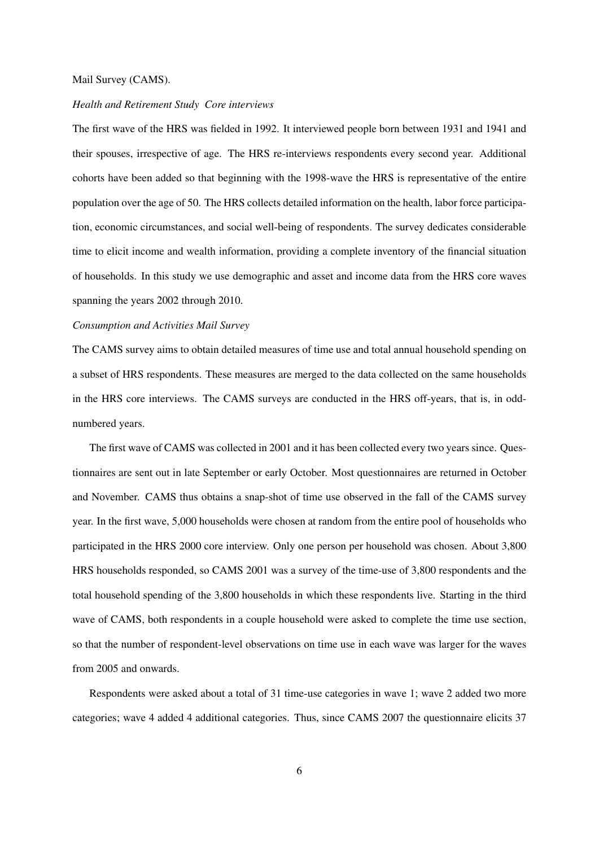#### Mail Survey (CAMS).

#### *Health and Retirement Study Core interviews*

The first wave of the HRS was fielded in 1992. It interviewed people born between 1931 and 1941 and their spouses, irrespective of age. The HRS re-interviews respondents every second year. Additional cohorts have been added so that beginning with the 1998-wave the HRS is representative of the entire population over the age of 50. The HRS collects detailed information on the health, labor force participation, economic circumstances, and social well-being of respondents. The survey dedicates considerable time to elicit income and wealth information, providing a complete inventory of the financial situation of households. In this study we use demographic and asset and income data from the HRS core waves spanning the years 2002 through 2010.

#### *Consumption and Activities Mail Survey*

The CAMS survey aims to obtain detailed measures of time use and total annual household spending on a subset of HRS respondents. These measures are merged to the data collected on the same households in the HRS core interviews. The CAMS surveys are conducted in the HRS off-years, that is, in oddnumbered years.

The first wave of CAMS was collected in 2001 and it has been collected every two years since. Questionnaires are sent out in late September or early October. Most questionnaires are returned in October and November. CAMS thus obtains a snap-shot of time use observed in the fall of the CAMS survey year. In the first wave, 5,000 households were chosen at random from the entire pool of households who participated in the HRS 2000 core interview. Only one person per household was chosen. About 3,800 HRS households responded, so CAMS 2001 was a survey of the time-use of 3,800 respondents and the total household spending of the 3,800 households in which these respondents live. Starting in the third wave of CAMS, both respondents in a couple household were asked to complete the time use section, so that the number of respondent-level observations on time use in each wave was larger for the waves from 2005 and onwards.

Respondents were asked about a total of 31 time-use categories in wave 1; wave 2 added two more categories; wave 4 added 4 additional categories. Thus, since CAMS 2007 the questionnaire elicits 37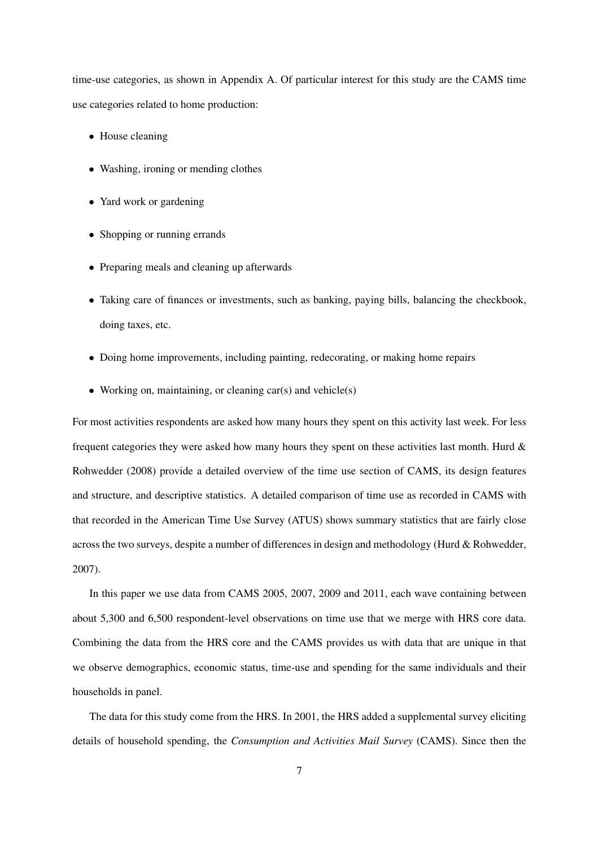time-use categories, as shown in Appendix A. Of particular interest for this study are the CAMS time use categories related to home production:

- House cleaning
- Washing, ironing or mending clothes
- Yard work or gardening
- Shopping or running errands
- Preparing meals and cleaning up afterwards
- Taking care of finances or investments, such as banking, paying bills, balancing the checkbook, doing taxes, etc.
- Doing home improvements, including painting, redecorating, or making home repairs
- Working on, maintaining, or cleaning car(s) and vehicle(s)

For most activities respondents are asked how many hours they spent on this activity last week. For less frequent categories they were asked how many hours they spent on these activities last month. Hurd & Rohwedder (2008) provide a detailed overview of the time use section of CAMS, its design features and structure, and descriptive statistics. A detailed comparison of time use as recorded in CAMS with that recorded in the American Time Use Survey (ATUS) shows summary statistics that are fairly close across the two surveys, despite a number of differences in design and methodology (Hurd & Rohwedder, 2007).

In this paper we use data from CAMS 2005, 2007, 2009 and 2011, each wave containing between about 5,300 and 6,500 respondent-level observations on time use that we merge with HRS core data. Combining the data from the HRS core and the CAMS provides us with data that are unique in that we observe demographics, economic status, time-use and spending for the same individuals and their households in panel.

The data for this study come from the HRS. In 2001, the HRS added a supplemental survey eliciting details of household spending, the *Consumption and Activities Mail Survey* (CAMS). Since then the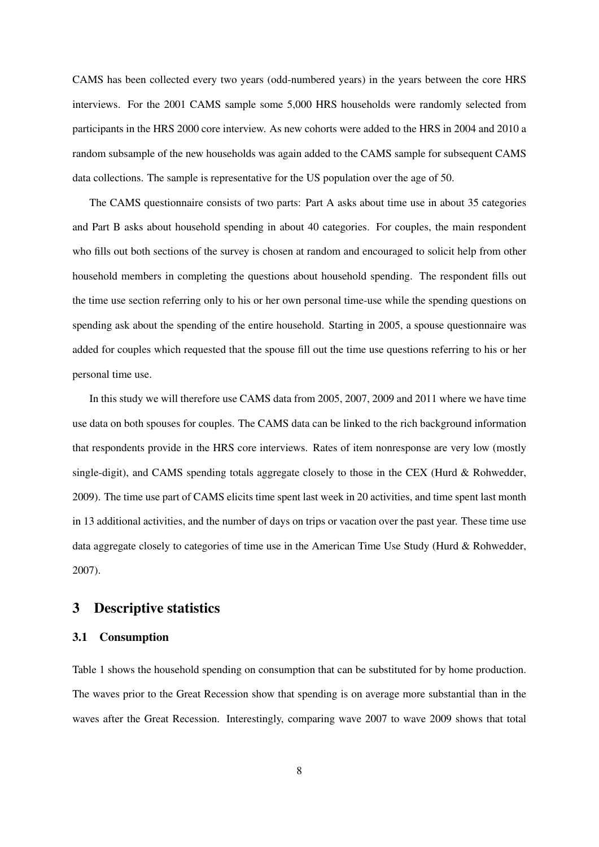CAMS has been collected every two years (odd-numbered years) in the years between the core HRS interviews. For the 2001 CAMS sample some 5,000 HRS households were randomly selected from participants in the HRS 2000 core interview. As new cohorts were added to the HRS in 2004 and 2010 a random subsample of the new households was again added to the CAMS sample for subsequent CAMS data collections. The sample is representative for the US population over the age of 50.

The CAMS questionnaire consists of two parts: Part A asks about time use in about 35 categories and Part B asks about household spending in about 40 categories. For couples, the main respondent who fills out both sections of the survey is chosen at random and encouraged to solicit help from other household members in completing the questions about household spending. The respondent fills out the time use section referring only to his or her own personal time-use while the spending questions on spending ask about the spending of the entire household. Starting in 2005, a spouse questionnaire was added for couples which requested that the spouse fill out the time use questions referring to his or her personal time use.

In this study we will therefore use CAMS data from 2005, 2007, 2009 and 2011 where we have time use data on both spouses for couples. The CAMS data can be linked to the rich background information that respondents provide in the HRS core interviews. Rates of item nonresponse are very low (mostly single-digit), and CAMS spending totals aggregate closely to those in the CEX (Hurd & Rohwedder, 2009). The time use part of CAMS elicits time spent last week in 20 activities, and time spent last month in 13 additional activities, and the number of days on trips or vacation over the past year. These time use data aggregate closely to categories of time use in the American Time Use Study (Hurd & Rohwedder, 2007).

## 3 Descriptive statistics

## 3.1 Consumption

Table 1 shows the household spending on consumption that can be substituted for by home production. The waves prior to the Great Recession show that spending is on average more substantial than in the waves after the Great Recession. Interestingly, comparing wave 2007 to wave 2009 shows that total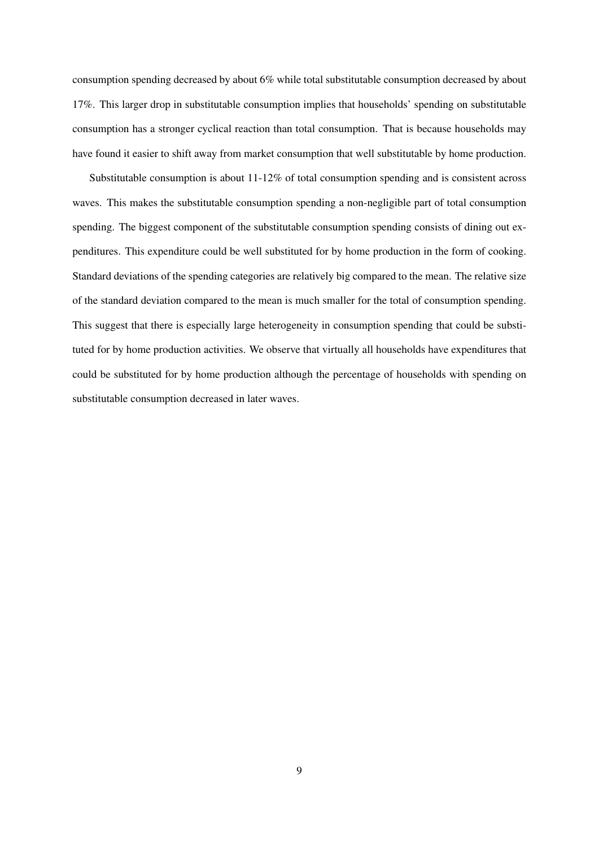consumption spending decreased by about 6% while total substitutable consumption decreased by about 17%. This larger drop in substitutable consumption implies that households' spending on substitutable consumption has a stronger cyclical reaction than total consumption. That is because households may have found it easier to shift away from market consumption that well substitutable by home production.

Substitutable consumption is about 11-12% of total consumption spending and is consistent across waves. This makes the substitutable consumption spending a non-negligible part of total consumption spending. The biggest component of the substitutable consumption spending consists of dining out expenditures. This expenditure could be well substituted for by home production in the form of cooking. Standard deviations of the spending categories are relatively big compared to the mean. The relative size of the standard deviation compared to the mean is much smaller for the total of consumption spending. This suggest that there is especially large heterogeneity in consumption spending that could be substituted for by home production activities. We observe that virtually all households have expenditures that could be substituted for by home production although the percentage of households with spending on substitutable consumption decreased in later waves.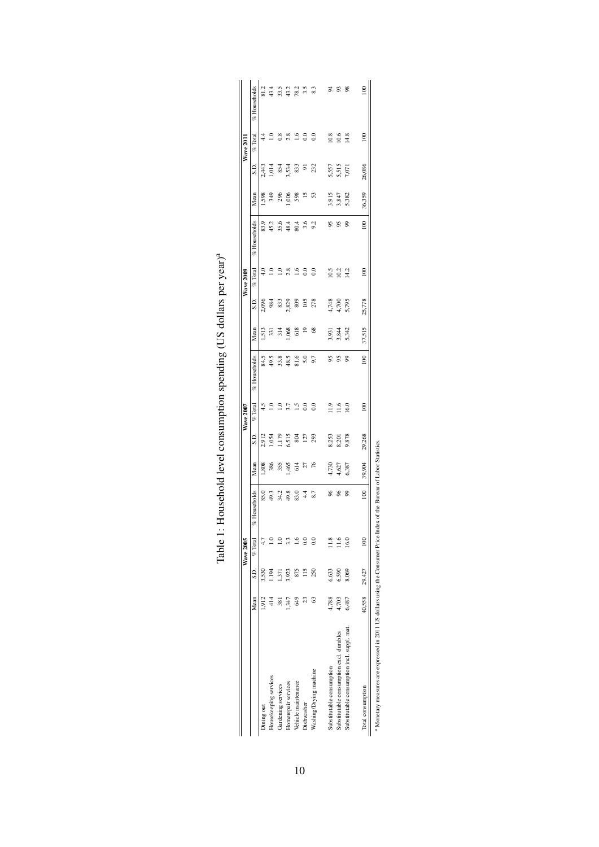|                                             |        |        | <b>Wave 2005</b> |               |                |                | <b>Wave 2007</b>  |               |                |                         | <b>Wave 2009</b>  |              |                |                         | <b>Wave 2011</b>               |                  |
|---------------------------------------------|--------|--------|------------------|---------------|----------------|----------------|-------------------|---------------|----------------|-------------------------|-------------------|--------------|----------------|-------------------------|--------------------------------|------------------|
|                                             | Mean   | S.D.   | $%$ Total        | % Households  | Mean           | S.D            | $%$ Total         | % Households  | Mean           | S.D.                    | $%$ Total         | % Households | Mean           | G.S                     | Total<br>e.                    | % Households     |
| Dining out                                  | 1.912  | 3,530  |                  | 85.0          | 808            | 2,912          | 4.5               | 84.5          | 1.513          | 2,096                   | $^{4.0}$          | 83.9         | 598            | 2,443                   | 4.4                            | 81.2             |
| Housekeeping services                       |        | $-194$ |                  | 49.3          | 386            | 1,054          | $\overline{1.0}$  | 49.5          | 331            | 984                     | $\overline{1.0}$  | 45.2         | 349            | 1,014                   | $\mathrel{\mathop:}=$          |                  |
| Gardening services                          | 381    | 571    | ≘                | 34.2          | 355            | 1,179<br>6,515 | $\Xi$             | 33.8          | 314            | 833                     | $\overline{1.0}$  | 35.6         | 296            | 854<br>3,534            | $0.8$<br>$2.8$<br>$1.6$<br>0.0 | $43.5$<br>$43.2$ |
| Homerepair services                         | 1,347  | 3,923  | 3.3              | 49.8          | ,465           |                | 3.7               | 48.5          | ,068           | 2,829                   | 2.8               | 48.4         | 006            |                         |                                |                  |
| Vehicle maintenance                         | 3      |        | ء<br>=           | 83.0          | 614            | 804            | $\frac{1.5}{0.0}$ | 81.6          | 618            | 809<br>105              | 1.6               | 80.4         | 598            | 833                     |                                | 78.2             |
| Dishwasher                                  |        |        | $_{\odot}$       | $\frac{4}{4}$ | 27             | 127            |                   | 5.0           | $\overline{e}$ |                         | $_{0.0}$          | 3.6          | $\tilde{z}$    | $\overline{5}$          |                                | 3.5              |
| Washing/Drying machine                      | 63     | 250    | $\frac{6}{3}$    | 8.7           | 76             | 293            | $_{\rm 0.0}$      | 9.7           | $\frac{8}{3}$  | 278                     | $_{0.0}$          | 9.2          | S              | 232                     | $_{0.0}$                       | 83               |
| Substitutable consumption                   | 4,788  | 6,633  | $\frac{8}{10}$   | $\frac{6}{2}$ |                |                | 11.9              | 95            |                |                         | 10.5              | 56           |                |                         | 10.8                           | 54               |
| Substitutable consumption excl. durables    | 4,703  | 6,590  | 1.6              | 96            | 4,730<br>4,627 | 8,253<br>8,201 | 11.6              | 95            | 3,844<br>3,844 | 4,748<br>4,700<br>5,795 | 10.2              | S,           | 3,915<br>3,847 | 5,557<br>5,515<br>7,071 | 10.6                           | 93               |
| Substitutable consumption incl. suppl. mat. | 6,487  | 8,069  | 16.0             | ஜ             | 6,387          | 9,878          | 16.0              | ஜ             | 5,342          |                         | 14.2              | 90           | 5,382          |                         | 14.8                           | 98               |
| Total consumption                           | 40,558 | 29,427 | $\frac{100}{20}$ | $\approx$     | 39,904         | 29,268         | $\frac{8}{2}$     | $\frac{8}{2}$ | 37,515         | 25,778                  | $\widetilde{\Xi}$ | $\approx$    | 36,359         | 26,086                  | $\approx$                      | $\overline{0}$   |
|                                             |        |        |                  |               |                |                |                   |               |                |                         |                   |              |                |                         |                                |                  |

| $\sim$ dollare mar imarie<br>ここ ていし                            |
|----------------------------------------------------------------|
| )<br>)                                                         |
|                                                                |
|                                                                |
| $\frac{1}{1}$                                                  |
| l'able l' Hongebold level congruention coencinar<br>:<br>;<br> |
|                                                                |

Monetary measures are expressed in 2011 US dollars using the Consumer Price Index of the Bureau of Labor Statistics.<br><sup>a</sup> Monetary measures are expressed in 2011 US dollars using the Consumer Price Index of the Bureau of La Monetary measures are expressed in 2011 US dollars using the Consumer Price Index of the Bureau of Labor Statistics.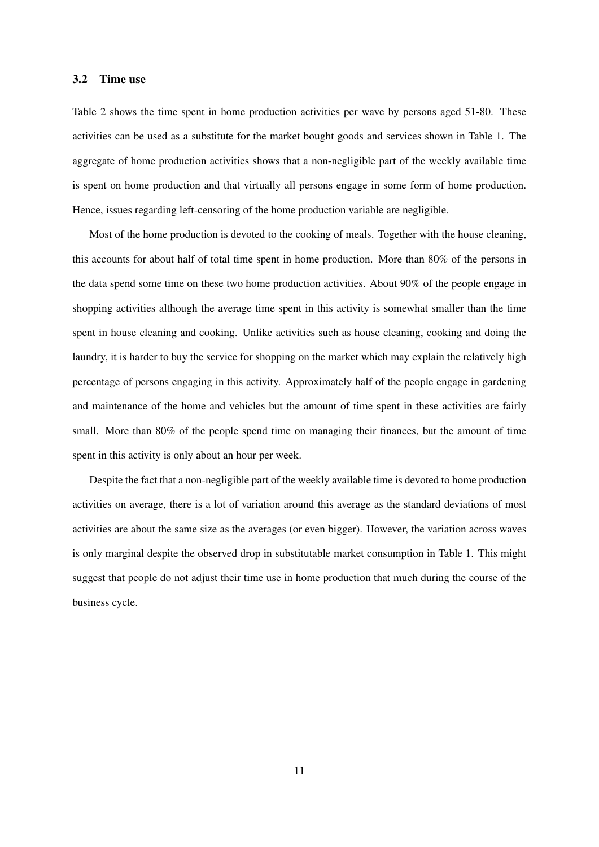## 3.2 Time use

Table 2 shows the time spent in home production activities per wave by persons aged 51-80. These activities can be used as a substitute for the market bought goods and services shown in Table 1. The aggregate of home production activities shows that a non-negligible part of the weekly available time is spent on home production and that virtually all persons engage in some form of home production. Hence, issues regarding left-censoring of the home production variable are negligible.

Most of the home production is devoted to the cooking of meals. Together with the house cleaning, this accounts for about half of total time spent in home production. More than 80% of the persons in the data spend some time on these two home production activities. About 90% of the people engage in shopping activities although the average time spent in this activity is somewhat smaller than the time spent in house cleaning and cooking. Unlike activities such as house cleaning, cooking and doing the laundry, it is harder to buy the service for shopping on the market which may explain the relatively high percentage of persons engaging in this activity. Approximately half of the people engage in gardening and maintenance of the home and vehicles but the amount of time spent in these activities are fairly small. More than 80% of the people spend time on managing their finances, but the amount of time spent in this activity is only about an hour per week.

Despite the fact that a non-negligible part of the weekly available time is devoted to home production activities on average, there is a lot of variation around this average as the standard deviations of most activities are about the same size as the averages (or even bigger). However, the variation across waves is only marginal despite the observed drop in substitutable market consumption in Table 1. This might suggest that people do not adjust their time use in home production that much during the course of the business cycle.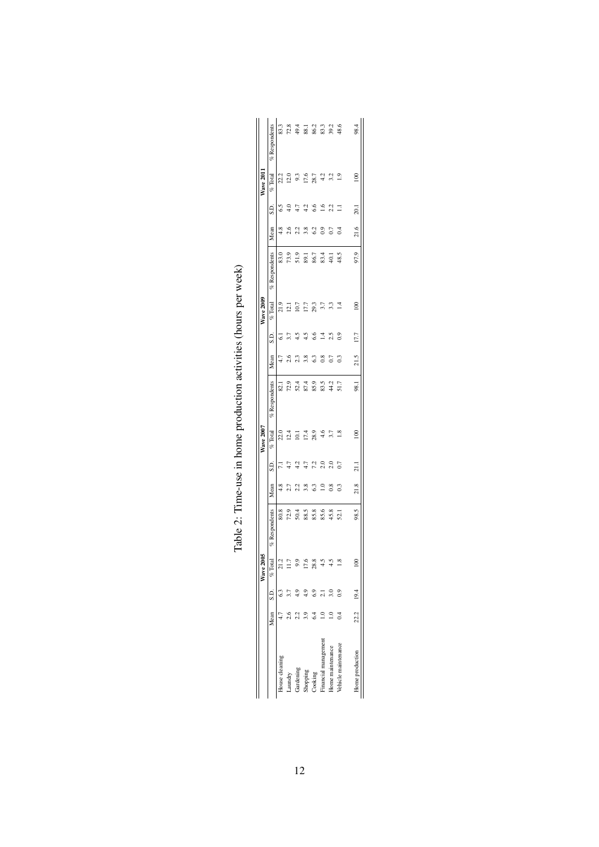|                     |                 | Wave 2'   |               |          |                | <b>Wave 2007</b> |                 |               |                 | <b>Wave 2009</b> |                 |          |               | <b>Wave 201</b> |                 |
|---------------------|-----------------|-----------|---------------|----------|----------------|------------------|-----------------|---------------|-----------------|------------------|-----------------|----------|---------------|-----------------|-----------------|
|                     |                 |           |               |          |                |                  |                 |               |                 |                  |                 |          |               |                 |                 |
|                     | Mean S.D. % Tot |           | % Respondents | Mean     | S.D.           | $%$ Total        | $%$ Respondents | Mean          | S.D.            | $%$ Total        | $%$ Respondents | Mean     | S.D.          | $%$ Total       | $%$ Respondents |
| House cleaning      |                 | 21.2      | 80.8          | 4.8      |                | 22.0             | 82.1            | 4.7           | Ġ               | 21.9             | 83.0            | 4.8      | 6.5           | 22.2            | 83.3            |
| Laundry             |                 | г.        | 72.9          | 2.7      |                | 12.4             | 72.9            | 2.6           |                 | 12.1             | 73.9            | 2.6      | 4.0           | 12.0            | 72.8            |
| Gardening           |                 | Q         | 50.4          | 2.2      |                | $\overline{5}$   | 52.4            | 2.3           |                 | 10.7             | 51.9            |          |               | 9.3             | 49.4            |
| Shopping            |                 | 17.6      | 88.5          | 3.8      |                | 17.4             | 87.4            | 3.8           | 4.5             | 17.7             | 89.1            | 3.8      | 4.2           | 17.6            | 88.1            |
| Cooking             |                 | 28.8      | 85.8          | ි        | 7.2            | 28.9             | 85.9            | ි             | 6.6             | 29.3             | 86.7            | $^{62}$  | 6.6           | 28.7            | 86.2            |
| mancial management  |                 |           | 85.6          | $\Xi$    | 2.0            | 4,6              | 83.5            | $_{0.8}$      | $\overline{14}$ | 3.7              | 83.4            | $_{0.9}$ | $\frac{6}{2}$ | 4.2             | 83.3            |
| Iome maintenance    |                 | 4.5       | 45.8          | $_{0.8}$ | 2.0            | 3.7              | 44.2            | 0.7           | 2.5             | 3.3              | 40.1            | 0.7      | 2.2           | 3.2             | 39.2            |
| Vehicle maintenance |                 | œ         | 52.1          | ි        | 0.7            |                  | 51.7            | $\frac{3}{2}$ | $\overline{0}$  |                  | 48.5            |          |               | $\frac{0}{1}$   | 48.6            |
|                     |                 |           |               |          |                |                  |                 |               |                 |                  |                 |          |               |                 |                 |
| Home production     | 22.2 19.4       | $\approx$ | 98.5          | 21.8     | $\overline{z}$ | $\frac{8}{2}$    | 98.1            | 21.5          | 17.7            | $\geq$           | 97.9            | 21.6     | 20.1          | $\frac{8}{2}$   | 98.4            |

 $\Big\}$ 

Table 2: Time-use in home production activities (hours per week) Table 2: Time-use in home production activities (hours per week)

 $\begin{array}{c} \begin{array}{c} \begin{array}{c} \begin{array}{c} \end{array}\\ \end{array} \end{array} \end{array} \end{array}$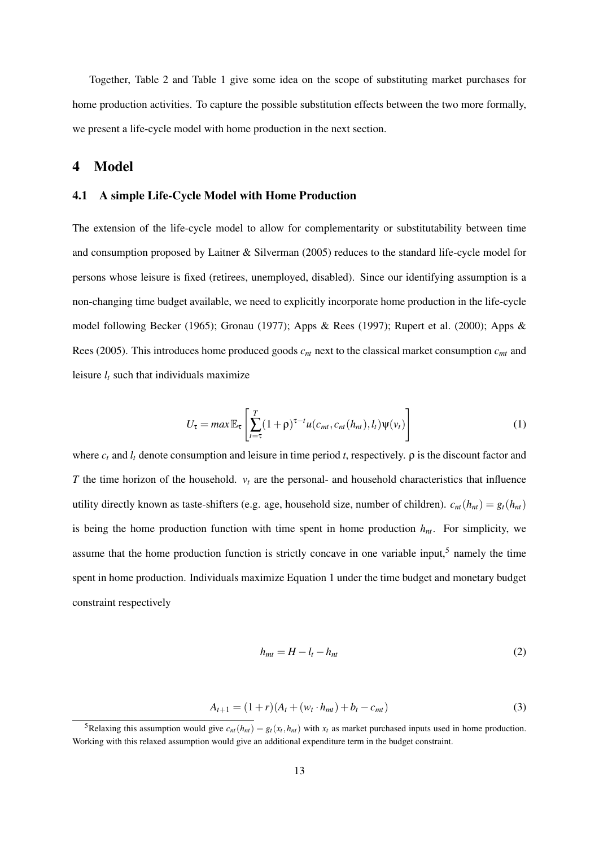Together, Table 2 and Table 1 give some idea on the scope of substituting market purchases for home production activities. To capture the possible substitution effects between the two more formally, we present a life-cycle model with home production in the next section.

## 4 Model

## 4.1 A simple Life-Cycle Model with Home Production

The extension of the life-cycle model to allow for complementarity or substitutability between time and consumption proposed by Laitner & Silverman (2005) reduces to the standard life-cycle model for persons whose leisure is fixed (retirees, unemployed, disabled). Since our identifying assumption is a non-changing time budget available, we need to explicitly incorporate home production in the life-cycle model following Becker (1965); Gronau (1977); Apps & Rees (1997); Rupert et al. (2000); Apps & Rees (2005). This introduces home produced goods *cnt* next to the classical market consumption *cmt* and leisure  $l_t$  such that individuals maximize

$$
U_{\tau} = max \mathbb{E}_{\tau} \left[ \sum_{t=\tau}^{T} (1+\rho)^{\tau-t} u(c_{mt}, c_{nt}(h_{nt}), l_t) \psi(v_t) \right]
$$
(1)

where  $c_t$  and  $l_t$  denote consumption and leisure in time period *t*, respectively.  $\rho$  is the discount factor and *T* the time horizon of the household. *v<sup>t</sup>* are the personal- and household characteristics that influence utility directly known as taste-shifters (e.g. age, household size, number of children).  $c_{nt}(h_{nt}) = g_t(h_{nt})$ is being the home production function with time spent in home production  $h_{nt}$ . For simplicity, we assume that the home production function is strictly concave in one variable input,<sup>5</sup> namely the time spent in home production. Individuals maximize Equation 1 under the time budget and monetary budget constraint respectively

$$
h_{mt} = H - l_t - h_{nt} \tag{2}
$$

$$
A_{t+1} = (1+r)(A_t + (w_t \cdot h_{mt}) + b_t - c_{mt})
$$
\n(3)

<sup>&</sup>lt;sup>5</sup>Relaxing this assumption would give  $c_{nt}(h_{nt}) = g_t(x_t, h_{nt})$  with  $x_t$  as market purchased inputs used in home production. Working with this relaxed assumption would give an additional expenditure term in the budget constraint.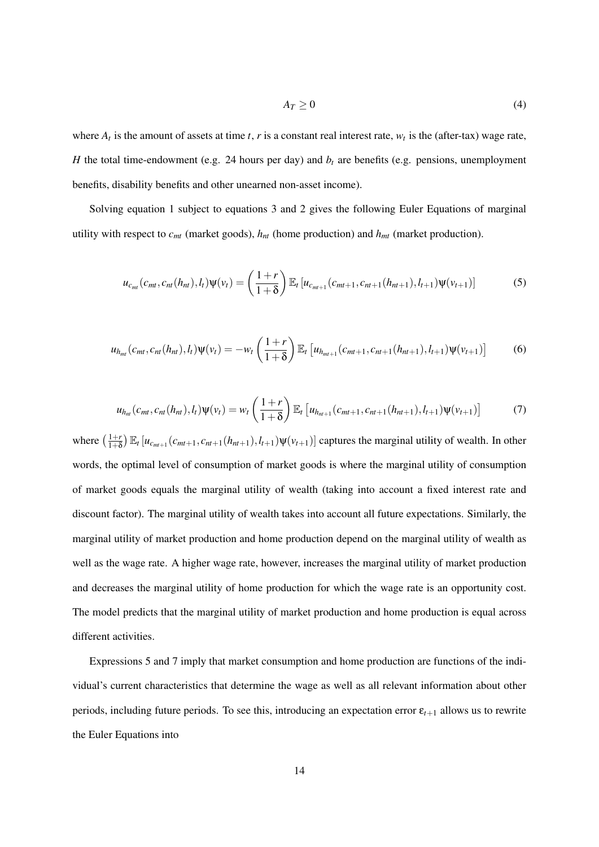$$
A_T \ge 0 \tag{4}
$$

where  $A_t$  is the amount of assets at time  $t$ ,  $r$  is a constant real interest rate,  $w_t$  is the (after-tax) wage rate, *H* the total time-endowment (e.g. 24 hours per day) and  $b_t$  are benefits (e.g. pensions, unemployment benefits, disability benefits and other unearned non-asset income).

Solving equation 1 subject to equations 3 and 2 gives the following Euler Equations of marginal utility with respect to *cmt* (market goods), *hnt* (home production) and *hmt* (market production).

$$
u_{c_{mt}}(c_{mt}, c_{nt}(h_{nt}), l_t)\Psi(v_t) = \left(\frac{1+r}{1+\delta}\right) \mathbb{E}_t \left[u_{c_{mt+1}}(c_{mt+1}, c_{nt+1}(h_{nt+1}), l_{t+1})\Psi(v_{t+1})\right]
$$
(5)

$$
u_{h_{mt}}(c_{mt}, c_{nt}(h_{nt}), l_t)\Psi(v_t) = -w_t\left(\frac{1+r}{1+\delta}\right) \mathbb{E}_t \left[u_{h_{mt+1}}(c_{mt+1}, c_{nt+1}(h_{nt+1}), l_{t+1})\Psi(v_{t+1})\right]
$$
(6)

$$
u_{h_{nt}}(c_{mt}, c_{nt}(h_{nt}), l_t)\Psi(v_t) = w_t\left(\frac{1+r}{1+\delta}\right) \mathbb{E}_t \left[ u_{h_{nt+1}}(c_{mt+1}, c_{nt+1}(h_{nt+1}), l_{t+1})\Psi(v_{t+1})\right]
$$
(7)

where  $\left(\frac{1+r}{1+\delta}\right)$  $\frac{1+r}{1+\delta}$   $\mathbb{E}_t$   $[u_{c_{mt+1}}(c_{mt+1}, c_{nt+1}(h_{nt+1}), l_{t+1})\psi(v_{t+1})]$  captures the marginal utility of wealth. In other words, the optimal level of consumption of market goods is where the marginal utility of consumption of market goods equals the marginal utility of wealth (taking into account a fixed interest rate and discount factor). The marginal utility of wealth takes into account all future expectations. Similarly, the marginal utility of market production and home production depend on the marginal utility of wealth as well as the wage rate. A higher wage rate, however, increases the marginal utility of market production and decreases the marginal utility of home production for which the wage rate is an opportunity cost. The model predicts that the marginal utility of market production and home production is equal across different activities.

Expressions 5 and 7 imply that market consumption and home production are functions of the individual's current characteristics that determine the wage as well as all relevant information about other periods, including future periods. To see this, introducing an expectation error  $\varepsilon_{t+1}$  allows us to rewrite the Euler Equations into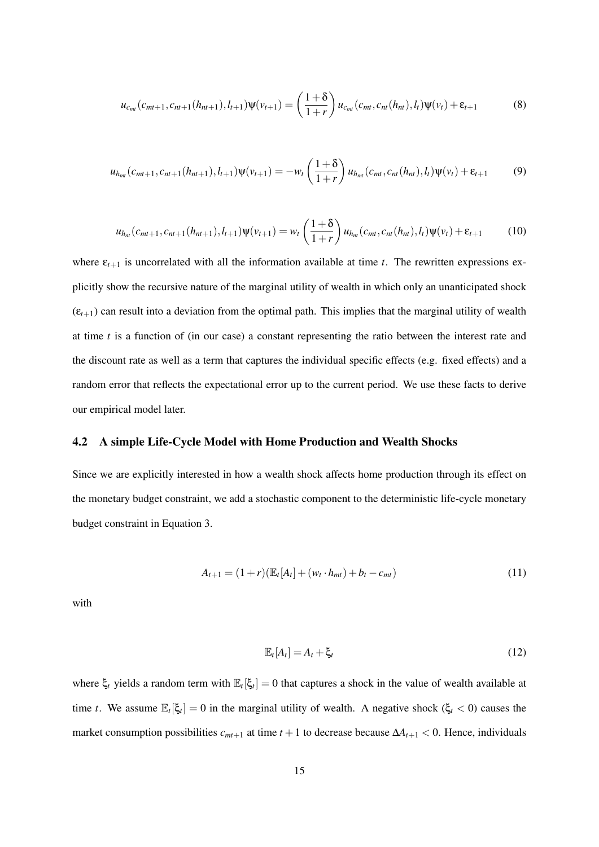$$
u_{c_{mt}}(c_{mt+1}, c_{mt+1}(h_{nt+1}), l_{t+1})\Psi(\nu_{t+1}) = \left(\frac{1+\delta}{1+r}\right)u_{c_{mt}}(c_{mt}, c_{nt}(h_{nt}), l_t)\Psi(\nu_t) + \varepsilon_{t+1}
$$
(8)

$$
u_{h_{mt}}(c_{mt+1}, c_{nt+1}(h_{nt+1}), l_{t+1})\Psi(v_{t+1}) = -w_t\left(\frac{1+\delta}{1+r}\right)u_{h_{mt}}(c_{mt}, c_{nt}(h_{nt}), l_t)\Psi(v_t) + \varepsilon_{t+1}
$$
(9)

$$
u_{h_{nt}}(c_{mt+1}, c_{nt+1}(h_{nt+1}), l_{t+1})\psi(v_{t+1}) = w_t\left(\frac{1+\delta}{1+r}\right)u_{h_{nt}}(c_{mt}, c_{nt}(h_{nt}), l_t)\psi(v_t) + \varepsilon_{t+1}
$$
(10)

where  $\varepsilon_{t+1}$  is uncorrelated with all the information available at time *t*. The rewritten expressions explicitly show the recursive nature of the marginal utility of wealth in which only an unanticipated shock  $(\varepsilon_{t+1})$  can result into a deviation from the optimal path. This implies that the marginal utility of wealth at time *t* is a function of (in our case) a constant representing the ratio between the interest rate and the discount rate as well as a term that captures the individual specific effects (e.g. fixed effects) and a random error that reflects the expectational error up to the current period. We use these facts to derive our empirical model later.

## 4.2 A simple Life-Cycle Model with Home Production and Wealth Shocks

Since we are explicitly interested in how a wealth shock affects home production through its effect on the monetary budget constraint, we add a stochastic component to the deterministic life-cycle monetary budget constraint in Equation 3.

$$
A_{t+1} = (1+r)(\mathbb{E}_t[A_t] + (w_t \cdot h_{mt}) + b_t - c_{mt})
$$
\n(11)

with

$$
\mathbb{E}_t[A_t] = A_t + \xi_t \tag{12}
$$

where  $\xi_t$  yields a random term with  $\mathbb{E}_t[\xi_t] = 0$  that captures a shock in the value of wealth available at time *t*. We assume  $\mathbb{E}_{t}[\xi_t] = 0$  in the marginal utility of wealth. A negative shock  $(\xi_t < 0)$  causes the market consumption possibilities  $c_{mt+1}$  at time  $t+1$  to decrease because  $\Delta A_{t+1} < 0$ . Hence, individuals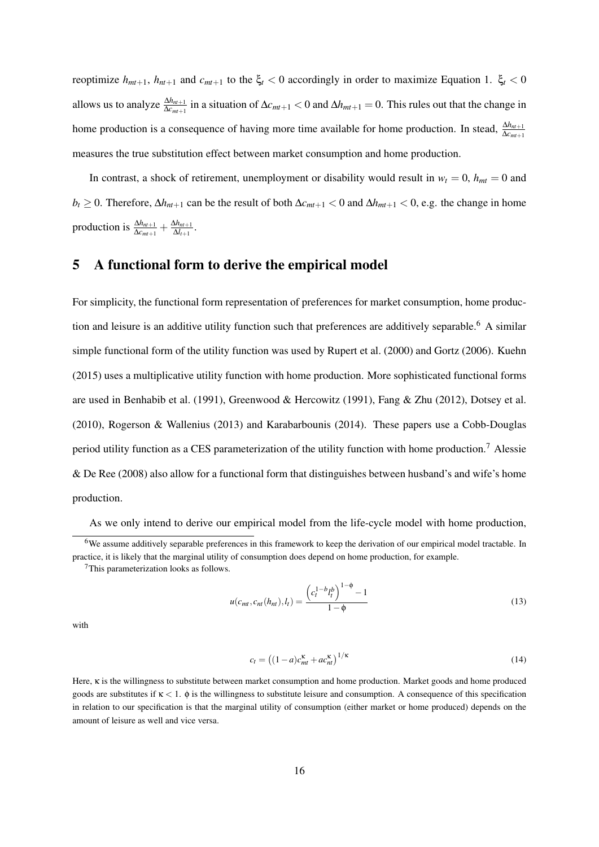reoptimize  $h_{mt+1}$ ,  $h_{nt+1}$  and  $c_{mt+1}$  to the  $\xi_t < 0$  accordingly in order to maximize Equation 1.  $\xi_t < 0$ allows us to analyze  $\frac{\Delta h_{mt+1}}{\Delta c_{mt+1}}$  in a situation of  $\Delta c_{mt+1} < 0$  and  $\Delta h_{mt+1} = 0$ . This rules out that the change in home production is a consequence of having more time available for home production. In stead,  $\frac{\Delta h_{m+1}}{\Delta c_{m+1}}$ measures the true substitution effect between market consumption and home production.

In contrast, a shock of retirement, unemployment or disability would result in  $w_t = 0$ ,  $h_{mt} = 0$  and *b*<sup>*t*</sup> ≥ 0. Therefore,  $\Delta h_{nt+1}$  can be the result of both  $\Delta c_{mt+1}$  < 0 and  $\Delta h_{mt+1}$  < 0, e.g. the change in home production is  $\frac{\Delta h_{nt+1}}{\Delta c_{mt+1}} + \frac{\Delta h_{nt+1}}{\Delta l_{t+1}}$  $\frac{\Delta n_{nt+1}}{\Delta l_{t+1}}$ .

# 5 A functional form to derive the empirical model

For simplicity, the functional form representation of preferences for market consumption, home production and leisure is an additive utility function such that preferences are additively separable.<sup>6</sup> A similar simple functional form of the utility function was used by Rupert et al. (2000) and Gortz (2006). Kuehn (2015) uses a multiplicative utility function with home production. More sophisticated functional forms are used in Benhabib et al. (1991), Greenwood & Hercowitz (1991), Fang & Zhu (2012), Dotsey et al. (2010), Rogerson & Wallenius (2013) and Karabarbounis (2014). These papers use a Cobb-Douglas period utility function as a CES parameterization of the utility function with home production.<sup>7</sup> Alessie & De Ree (2008) also allow for a functional form that distinguishes between husband's and wife's home production.

As we only intend to derive our empirical model from the life-cycle model with home production,

$$
u(c_{mt}, c_{nt}(h_{nt}), l_t) = \frac{\left(c_t^{1-b}l_t^b\right)^{1-\phi} - 1}{1-\phi} \tag{13}
$$

with

$$
c_t = \left( (1 - a)c_{mt}^{\kappa} + ac_{nt}^{\kappa} \right)^{1/\kappa} \tag{14}
$$

Here, κ is the willingness to substitute between market consumption and home production. Market goods and home produced goods are substitutes if  $\kappa$  < 1.  $\phi$  is the willingness to substitute leisure and consumption. A consequence of this specification in relation to our specification is that the marginal utility of consumption (either market or home produced) depends on the amount of leisure as well and vice versa.

<sup>6</sup>We assume additively separable preferences in this framework to keep the derivation of our empirical model tractable. In practice, it is likely that the marginal utility of consumption does depend on home production, for example.

<sup>7</sup>This parameterization looks as follows.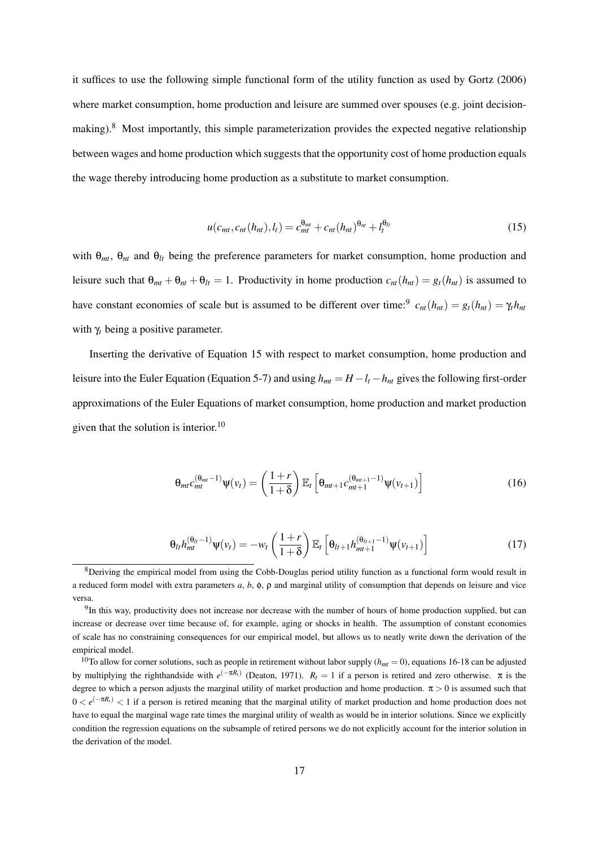it suffices to use the following simple functional form of the utility function as used by Gortz (2006) where market consumption, home production and leisure are summed over spouses (e.g. joint decisionmaking).<sup>8</sup> Most importantly, this simple parameterization provides the expected negative relationship between wages and home production which suggests that the opportunity cost of home production equals the wage thereby introducing home production as a substitute to market consumption.

$$
u(c_{mt}, c_{nt}(h_{nt}), l_t) = c_{mt}^{\theta_{mt}} + c_{nt}(h_{nt})^{\theta_{nt}} + l_t^{\theta_{lt}}
$$
\n(15)

with θ*mt*, θ*nt* and θ*lt* being the preference parameters for market consumption, home production and leisure such that  $\theta_{mt} + \theta_{nt} + \theta_{lt} = 1$ . Productivity in home production  $c_{nt}(h_{nt}) = g_t(h_{nt})$  is assumed to have constant economies of scale but is assumed to be different over time:<sup>9</sup>  $c_{nt}(h_{nt}) = g_t(h_{nt}) = \gamma_t h_{nt}$ with γ*<sup>t</sup>* being a positive parameter.

Inserting the derivative of Equation 15 with respect to market consumption, home production and leisure into the Euler Equation (Equation 5-7) and using  $h_{mt} = H - l_t - h_{nt}$  gives the following first-order approximations of the Euler Equations of market consumption, home production and market production given that the solution is interior.<sup>10</sup>

$$
\Theta_{mt}c_{mt}^{(\Theta_{mt}-1)}\Psi(v_t) = \left(\frac{1+r}{1+\delta}\right)\mathbb{E}_t\left[\Theta_{mt+1}c_{mt+1}^{(\Theta_{mt+1}-1)}\Psi(v_{t+1})\right]
$$
(16)

$$
\Theta_{lt} h_{mt}^{(\Theta_{lt}-1)} \Psi(\nu_t) = -\nu_t \left( \frac{1+r}{1+\delta} \right) \mathbb{E}_t \left[ \Theta_{lt+1} h_{mt+1}^{(\Theta_{lt+1}-1)} \Psi(\nu_{t+1}) \right]
$$
(17)

<sup>8</sup>Deriving the empirical model from using the Cobb-Douglas period utility function as a functional form would result in a reduced form model with extra parameters *a*, *b*, φ, ρ and marginal utility of consumption that depends on leisure and vice versa.

 $9$ In this way, productivity does not increase nor decrease with the number of hours of home production supplied, but can increase or decrease over time because of, for example, aging or shocks in health. The assumption of constant economies of scale has no constraining consequences for our empirical model, but allows us to neatly write down the derivation of the empirical model.

<sup>&</sup>lt;sup>10</sup>To allow for corner solutions, such as people in retirement without labor supply ( $h_{mt} = 0$ ), equations 16-18 can be adjusted by multiplying the righthandside with  $e^{(-\pi R_t)}$  (Deaton, 1971).  $R_t = 1$  if a person is retired and zero otherwise. π is the degree to which a person adjusts the marginal utility of market production and home production.  $\pi > 0$  is assumed such that  $0 < e^{(-\pi R_t)} < 1$  if a person is retired meaning that the marginal utility of market production and home production does not have to equal the marginal wage rate times the marginal utility of wealth as would be in interior solutions. Since we explicitly condition the regression equations on the subsample of retired persons we do not explicitly account for the interior solution in the derivation of the model.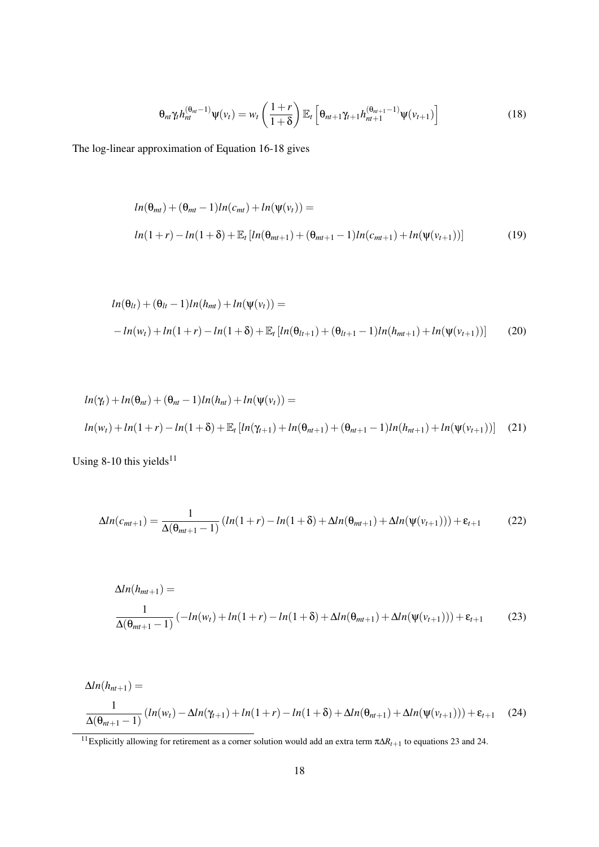$$
\Theta_{nl}\gamma_t h_{nt}^{(\Theta_{nl}-1)}\Psi(\nu_t) = \nu_t \left(\frac{1+r}{1+\delta}\right) \mathbb{E}_t \left[\Theta_{nl+1}\gamma_{t+1} h_{nt+1}^{(\Theta_{nl+1}-1)}\Psi(\nu_{t+1})\right]
$$
(18)

The log-linear approximation of Equation 16-18 gives

$$
ln(\theta_{mt}) + (\theta_{mt} - 1)ln(c_{mt}) + ln(\psi(v_t)) =
$$
  

$$
ln(1+r) - ln(1+\delta) + \mathbb{E}_t [ln(\theta_{mt+1}) + (\theta_{mt+1} - 1)ln(c_{mt+1}) + ln(\psi(v_{t+1}))]
$$
 (19)

$$
ln(\theta_{lt}) + (\theta_{lt} - 1)ln(h_{mt}) + ln(\psi(v_t)) =
$$
  
- ln(w<sub>t</sub>) + ln(1+r) - ln(1+\delta) + \mathbb{E}\_t [ln(\theta\_{lt+1}) + (\theta\_{lt+1} - 1)ln(h\_{mt+1}) + ln(\psi(v\_{t+1}))] (20)

$$
ln(\gamma_t) + ln(\theta_{nt}) + (\theta_{nt} - 1)ln(h_{nt}) + ln(\psi(v_t)) =
$$
  

$$
ln(w_t) + ln(1+r) - ln(1+\delta) + \mathbb{E}_t [ln(\gamma_{t+1}) + ln(\theta_{nt+1}) + (\theta_{nt+1} - 1)ln(h_{nt+1}) + ln(\psi(v_{t+1}))]
$$
 (21)

Using 8-10 this yields $11$ 

$$
\Delta ln(c_{mt+1}) = \frac{1}{\Delta(\theta_{mt+1} - 1)} \left( ln(1+r) - ln(1+\delta) + \Delta ln(\theta_{mt+1}) + \Delta ln(\psi(v_{t+1})) \right) + \varepsilon_{t+1}
$$
(22)

$$
\Delta ln(h_{mt+1}) =
$$
  

$$
\frac{1}{\Delta(\theta_{mt+1}-1)} (-ln(w_t) + ln(1+r) - ln(1+\delta) + \Delta ln(\theta_{mt+1}) + \Delta ln(\psi(v_{t+1}))) + \varepsilon_{t+1}
$$
 (23)

$$
\Delta ln(h_{nt+1}) =
$$
  

$$
\frac{1}{\Delta(\theta_{nt+1}-1)} (ln(w_t) - \Delta ln(\gamma_{t+1}) + ln(1+r) - ln(1+\delta) + \Delta ln(\theta_{nt+1}) + \Delta ln(\psi(v_{t+1}))) + \varepsilon_{t+1}
$$
 (24)

<sup>11</sup>Explicitly allowing for retirement as a corner solution would add an extra term π∆*Rt*+<sup>1</sup> to equations 23 and 24.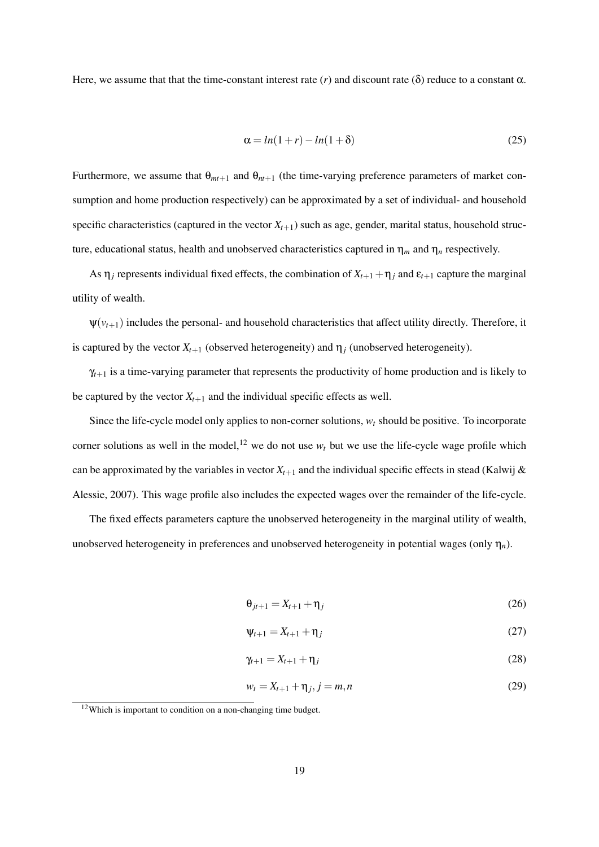Here, we assume that that the time-constant interest rate  $(r)$  and discount rate  $(\delta)$  reduce to a constant  $\alpha$ .

$$
\alpha = \ln(1+r) - \ln(1+\delta) \tag{25}
$$

Furthermore, we assume that  $\theta_{mt+1}$  and  $\theta_{mt+1}$  (the time-varying preference parameters of market consumption and home production respectively) can be approximated by a set of individual- and household specific characteristics (captured in the vector  $X_{t+1}$ ) such as age, gender, marital status, household structure, educational status, health and unobserved characteristics captured in  $\eta_m$  and  $\eta_n$  respectively.

As  $\eta_j$  represents individual fixed effects, the combination of  $X_{t+1} + \eta_j$  and  $\varepsilon_{t+1}$  capture the marginal utility of wealth.

 $\psi(v_{t+1})$  includes the personal- and household characteristics that affect utility directly. Therefore, it is captured by the vector  $X_{t+1}$  (observed heterogeneity) and  $\eta_i$  (unobserved heterogeneity).

 $\gamma_{t+1}$  is a time-varying parameter that represents the productivity of home production and is likely to be captured by the vector  $X_{t+1}$  and the individual specific effects as well.

Since the life-cycle model only applies to non-corner solutions, *w<sup>t</sup>* should be positive. To incorporate corner solutions as well in the model,<sup>12</sup> we do not use  $w_t$  but we use the life-cycle wage profile which can be approximated by the variables in vector  $X_{t+1}$  and the individual specific effects in stead (Kalwij & Alessie, 2007). This wage profile also includes the expected wages over the remainder of the life-cycle.

The fixed effects parameters capture the unobserved heterogeneity in the marginal utility of wealth, unobserved heterogeneity in preferences and unobserved heterogeneity in potential wages (only  $\eta_n$ ).

$$
\Theta_{jt+1} = X_{t+1} + \eta_j \tag{26}
$$

$$
\Psi_{t+1} = X_{t+1} + \eta_j \tag{27}
$$

$$
\gamma_{t+1} = X_{t+1} + \eta_j \tag{28}
$$

$$
w_t = X_{t+1} + \eta_j, j = m, n \tag{29}
$$

<sup>12</sup>Which is important to condition on a non-changing time budget.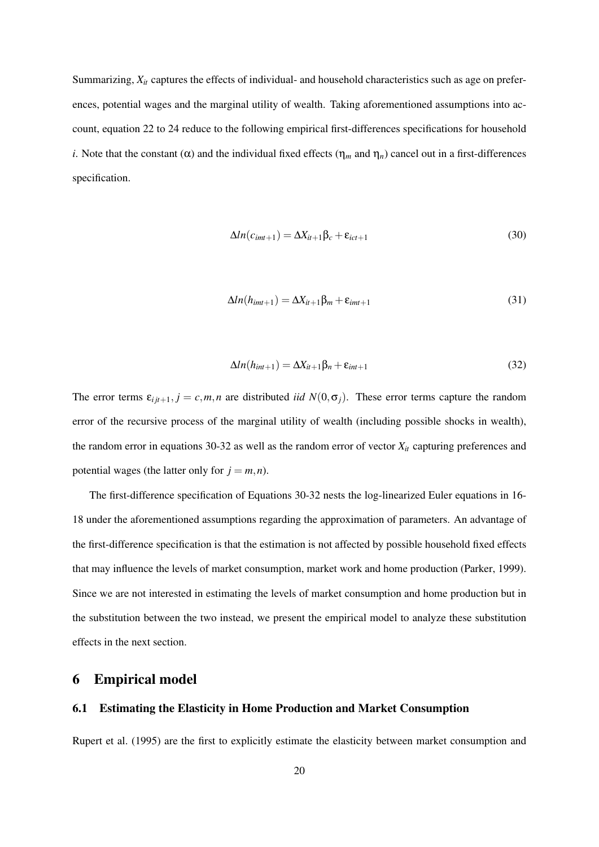Summarizing, *Xit* captures the effects of individual- and household characteristics such as age on preferences, potential wages and the marginal utility of wealth. Taking aforementioned assumptions into account, equation 22 to 24 reduce to the following empirical first-differences specifications for household *i*. Note that the constant ( $\alpha$ ) and the individual fixed effects ( $\eta_m$  and  $\eta_n$ ) cancel out in a first-differences specification.

$$
\Delta ln(c_{imt+1}) = \Delta X_{it+1} \beta_c + \varepsilon_{ict+1}
$$
\n(30)

$$
\Delta ln(h_{imt+1}) = \Delta X_{it+1} \beta_m + \varepsilon_{imt+1}
$$
\n(31)

$$
\Delta ln(h_{int+1}) = \Delta X_{it+1} \beta_n + \varepsilon_{int+1}
$$
\n(32)

The error terms  $\varepsilon_{i j t+1}, j = c, m, n$  are distributed *iid*  $N(0, \sigma_j)$ . These error terms capture the random error of the recursive process of the marginal utility of wealth (including possible shocks in wealth), the random error in equations 30-32 as well as the random error of vector  $X_{it}$  capturing preferences and potential wages (the latter only for  $j = m, n$ ).

The first-difference specification of Equations 30-32 nests the log-linearized Euler equations in 16- 18 under the aforementioned assumptions regarding the approximation of parameters. An advantage of the first-difference specification is that the estimation is not affected by possible household fixed effects that may influence the levels of market consumption, market work and home production (Parker, 1999). Since we are not interested in estimating the levels of market consumption and home production but in the substitution between the two instead, we present the empirical model to analyze these substitution effects in the next section.

# 6 Empirical model

## 6.1 Estimating the Elasticity in Home Production and Market Consumption

Rupert et al. (1995) are the first to explicitly estimate the elasticity between market consumption and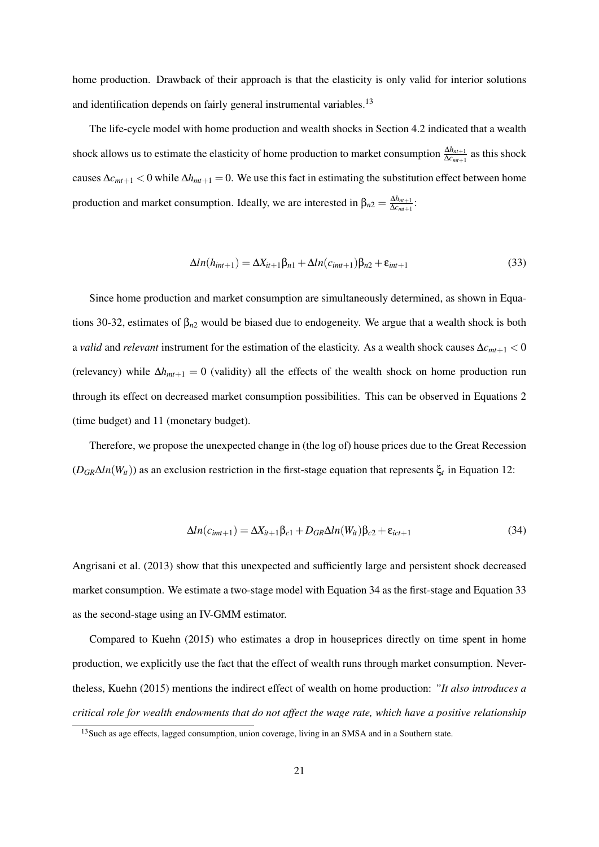home production. Drawback of their approach is that the elasticity is only valid for interior solutions and identification depends on fairly general instrumental variables.<sup>13</sup>

The life-cycle model with home production and wealth shocks in Section 4.2 indicated that a wealth shock allows us to estimate the elasticity of home production to market consumption  $\frac{\Delta h_{mt+1}}{\Delta c_{mt+1}}$  as this shock causes  $\Delta c_{mt+1} < 0$  while  $\Delta h_{mt+1} = 0$ . We use this fact in estimating the substitution effect between home production and market consumption. Ideally, we are interested in  $\beta_{n2} = \frac{\Delta h_{n+1}}{\Delta c_{n+1}}$  $\frac{\Delta n_{nt+1}}{\Delta c_{mt+1}}$ :

$$
\Delta ln(h_{int+1}) = \Delta X_{it+1} \beta_{n1} + \Delta ln(c_{imt+1}) \beta_{n2} + \varepsilon_{int+1}
$$
\n(33)

Since home production and market consumption are simultaneously determined, as shown in Equations 30-32, estimates of  $\beta_{n2}$  would be biased due to endogeneity. We argue that a wealth shock is both a *valid* and *relevant* instrument for the estimation of the elasticity. As a wealth shock causes ∆*cmt*+<sup>1</sup> < 0 (relevancy) while ∆*hmt*+<sup>1</sup> = 0 (validity) all the effects of the wealth shock on home production run through its effect on decreased market consumption possibilities. This can be observed in Equations 2 (time budget) and 11 (monetary budget).

Therefore, we propose the unexpected change in (the log of) house prices due to the Great Recession  $(D_{GR}\Delta ln(W_{it}))$  as an exclusion restriction in the first-stage equation that represents  $\xi_t$  in Equation 12:

$$
\Delta ln(c_{imt+1}) = \Delta X_{it+1} \beta_{c1} + D_{GR} \Delta ln(W_{it}) \beta_{c2} + \varepsilon_{ict+1}
$$
\n(34)

Angrisani et al. (2013) show that this unexpected and sufficiently large and persistent shock decreased market consumption. We estimate a two-stage model with Equation 34 as the first-stage and Equation 33 as the second-stage using an IV-GMM estimator.

Compared to Kuehn (2015) who estimates a drop in houseprices directly on time spent in home production, we explicitly use the fact that the effect of wealth runs through market consumption. Nevertheless, Kuehn (2015) mentions the indirect effect of wealth on home production: *"It also introduces a critical role for wealth endowments that do not affect the wage rate, which have a positive relationship*

<sup>&</sup>lt;sup>13</sup> Such as age effects, lagged consumption, union coverage, living in an SMSA and in a Southern state.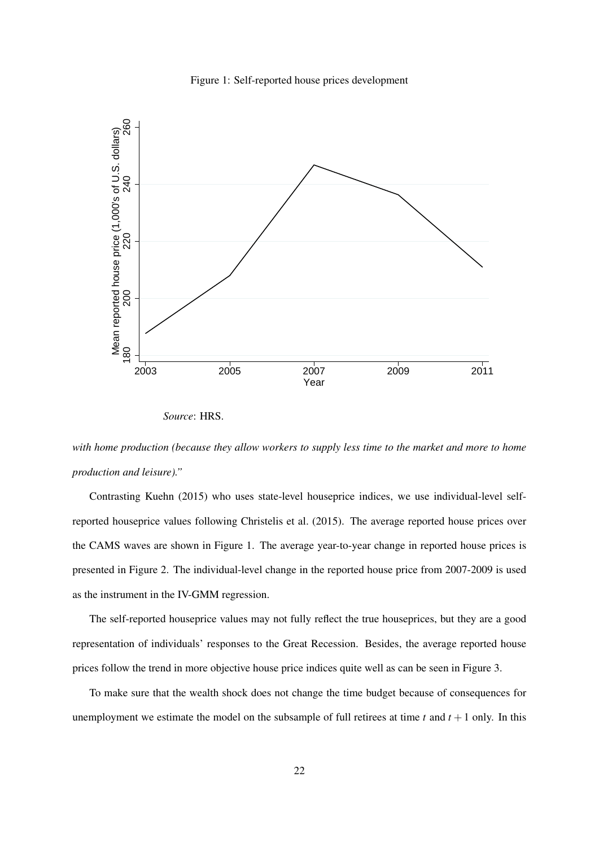



*Source*: HRS.

*with home production (because they allow workers to supply less time to the market and more to home production and leisure)."*

Contrasting Kuehn (2015) who uses state-level houseprice indices, we use individual-level selfreported houseprice values following Christelis et al. (2015). The average reported house prices over the CAMS waves are shown in Figure 1. The average year-to-year change in reported house prices is presented in Figure 2. The individual-level change in the reported house price from 2007-2009 is used as the instrument in the IV-GMM regression.

The self-reported houseprice values may not fully reflect the true houseprices, but they are a good representation of individuals' responses to the Great Recession. Besides, the average reported house prices follow the trend in more objective house price indices quite well as can be seen in Figure 3.

To make sure that the wealth shock does not change the time budget because of consequences for unemployment we estimate the model on the subsample of full retirees at time  $t$  and  $t + 1$  only. In this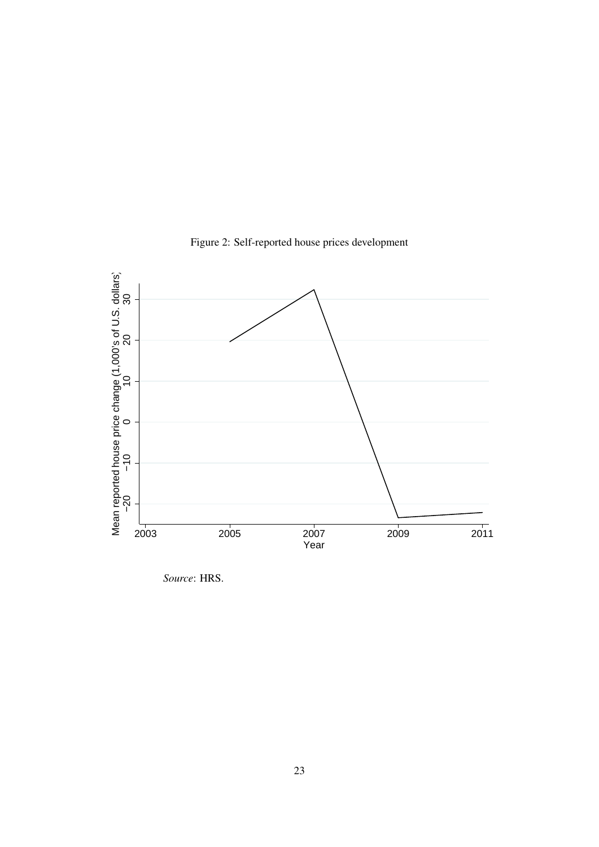

Figure 2: Self-reported house prices development

*Source*: HRS.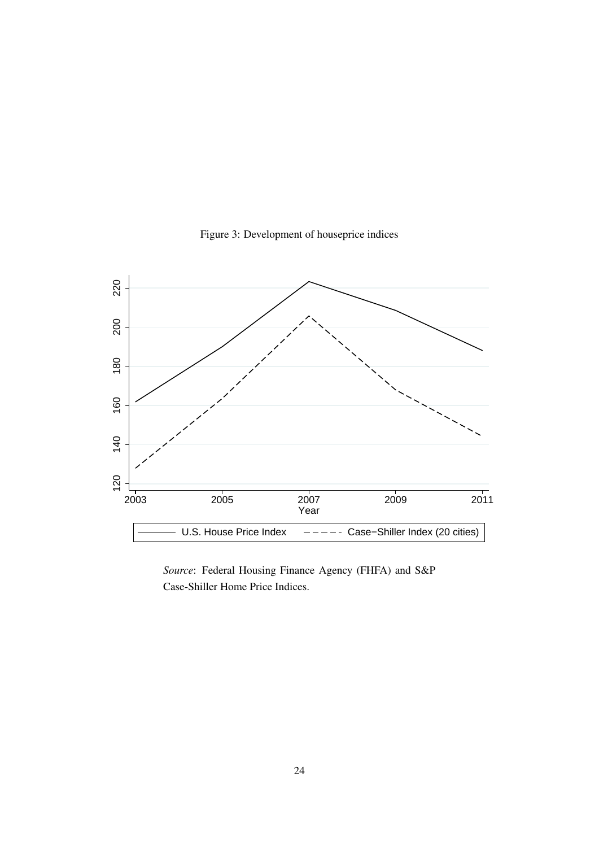

Figure 3: Development of houseprice indices

*Source*: Federal Housing Finance Agency (FHFA) and S&P Case-Shiller Home Price Indices.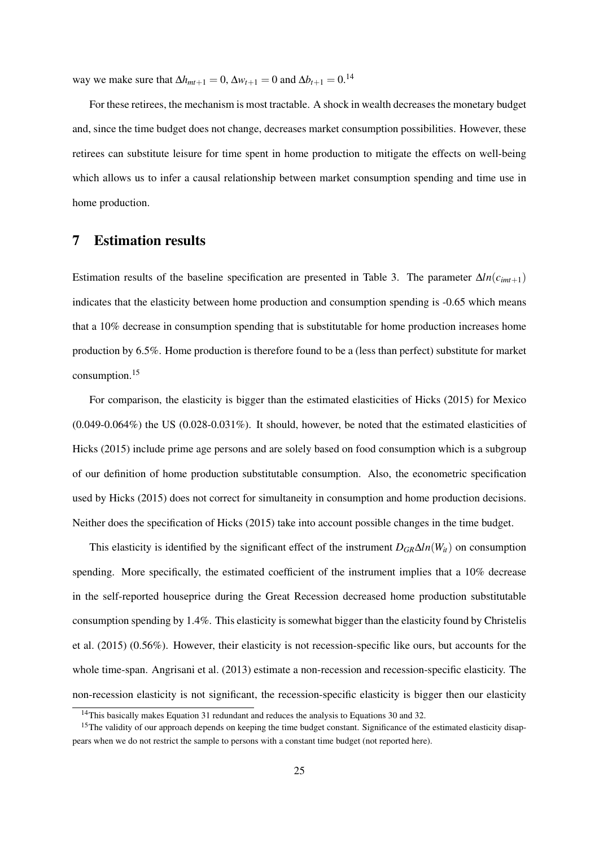way we make sure that  $\Delta h_{mt+1} = 0$ ,  $\Delta w_{t+1} = 0$  and  $\Delta b_{t+1} = 0$ .<sup>14</sup>

For these retirees, the mechanism is most tractable. A shock in wealth decreases the monetary budget and, since the time budget does not change, decreases market consumption possibilities. However, these retirees can substitute leisure for time spent in home production to mitigate the effects on well-being which allows us to infer a causal relationship between market consumption spending and time use in home production.

# 7 Estimation results

Estimation results of the baseline specification are presented in Table 3. The parameter  $\Delta ln(c_{imt+1})$ indicates that the elasticity between home production and consumption spending is -0.65 which means that a 10% decrease in consumption spending that is substitutable for home production increases home production by 6.5%. Home production is therefore found to be a (less than perfect) substitute for market consumption.<sup>15</sup>

For comparison, the elasticity is bigger than the estimated elasticities of Hicks (2015) for Mexico  $(0.049-0.064\%)$  the US  $(0.028-0.031\%)$ . It should, however, be noted that the estimated elasticities of Hicks (2015) include prime age persons and are solely based on food consumption which is a subgroup of our definition of home production substitutable consumption. Also, the econometric specification used by Hicks (2015) does not correct for simultaneity in consumption and home production decisions. Neither does the specification of Hicks (2015) take into account possible changes in the time budget.

This elasticity is identified by the significant effect of the instrument  $D_{GR}\Delta ln(W_{it})$  on consumption spending. More specifically, the estimated coefficient of the instrument implies that a 10% decrease in the self-reported houseprice during the Great Recession decreased home production substitutable consumption spending by 1.4%. This elasticity is somewhat bigger than the elasticity found by Christelis et al. (2015) (0.56%). However, their elasticity is not recession-specific like ours, but accounts for the whole time-span. Angrisani et al. (2013) estimate a non-recession and recession-specific elasticity. The non-recession elasticity is not significant, the recession-specific elasticity is bigger then our elasticity

<sup>&</sup>lt;sup>14</sup>This basically makes Equation 31 redundant and reduces the analysis to Equations 30 and 32.

<sup>&</sup>lt;sup>15</sup>The validity of our approach depends on keeping the time budget constant. Significance of the estimated elasticity disappears when we do not restrict the sample to persons with a constant time budget (not reported here).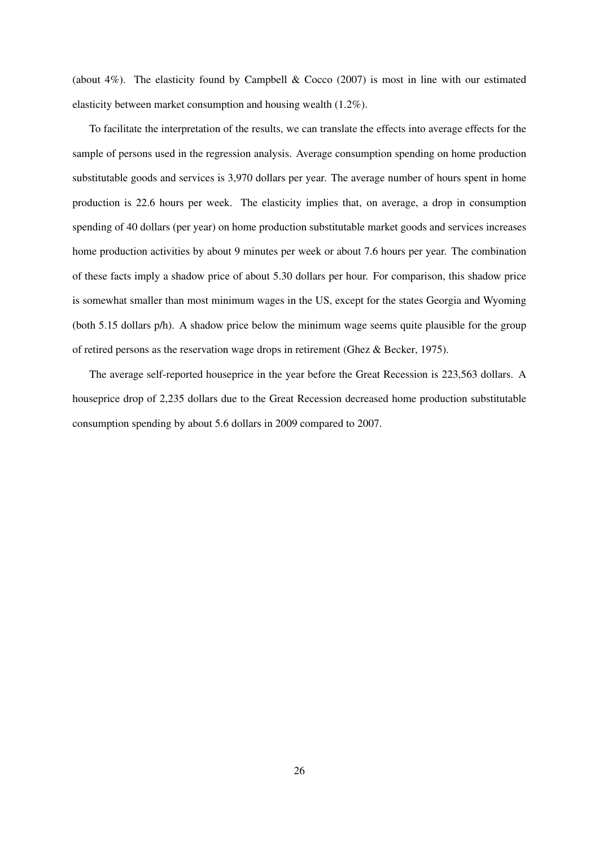(about 4%). The elasticity found by Campbell & Cocco (2007) is most in line with our estimated elasticity between market consumption and housing wealth (1.2%).

To facilitate the interpretation of the results, we can translate the effects into average effects for the sample of persons used in the regression analysis. Average consumption spending on home production substitutable goods and services is 3,970 dollars per year. The average number of hours spent in home production is 22.6 hours per week. The elasticity implies that, on average, a drop in consumption spending of 40 dollars (per year) on home production substitutable market goods and services increases home production activities by about 9 minutes per week or about 7.6 hours per year. The combination of these facts imply a shadow price of about 5.30 dollars per hour. For comparison, this shadow price is somewhat smaller than most minimum wages in the US, except for the states Georgia and Wyoming (both 5.15 dollars p/h). A shadow price below the minimum wage seems quite plausible for the group of retired persons as the reservation wage drops in retirement (Ghez & Becker, 1975).

The average self-reported houseprice in the year before the Great Recession is 223,563 dollars. A houseprice drop of 2,235 dollars due to the Great Recession decreased home production substitutable consumption spending by about 5.6 dollars in 2009 compared to 2007.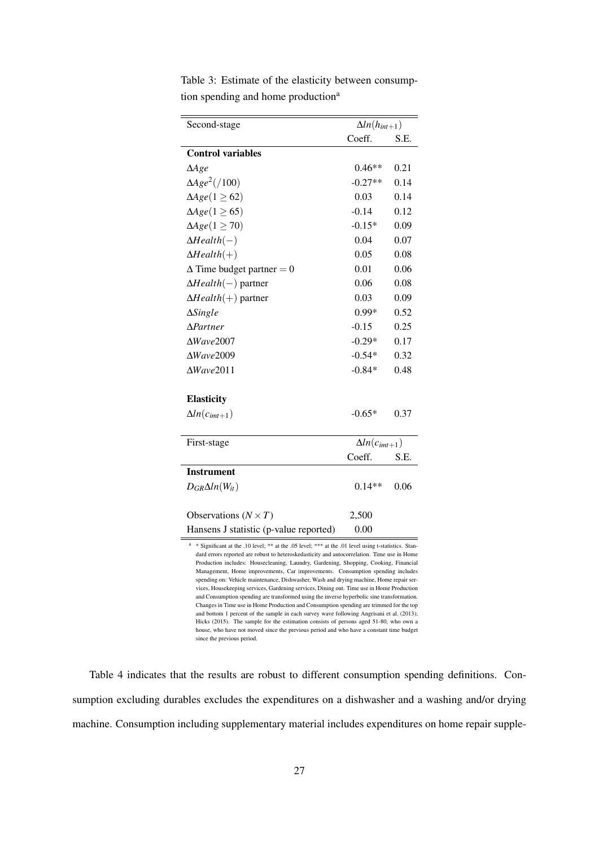| <b>Control variables</b><br>$\triangle$ Age<br>$\Delta Age^2$ (/100)<br>$\Delta Age(1 \geq 62)$<br>$\Delta Age(1 \geq 65)$<br>$\Delta Age (1 \geq 70)$<br>$\Delta Health(-)$<br>$\Delta Health(+)$<br>$\Delta$ Time budget partner = 0<br>$\Delta Health(-)$ partner<br>$\Delta Health(+)$ partner<br>$\Delta$ Single<br>$\Delta$ Partner | Coeff.<br>$0.46**$<br>$-0.27**$<br>0.03<br>$-0.14$<br>$-0.15*$<br>0.04<br>0.05<br>0.01<br>0.06<br>0.03<br>$0.99*$ | S.E.<br>0.21<br>0.14<br>0.14<br>0.12<br>0.09<br>0.07<br>0.08<br>0.06<br>0.08<br>0.09<br>0.52 |  |
|-------------------------------------------------------------------------------------------------------------------------------------------------------------------------------------------------------------------------------------------------------------------------------------------------------------------------------------------|-------------------------------------------------------------------------------------------------------------------|----------------------------------------------------------------------------------------------|--|
|                                                                                                                                                                                                                                                                                                                                           |                                                                                                                   |                                                                                              |  |
|                                                                                                                                                                                                                                                                                                                                           |                                                                                                                   |                                                                                              |  |
|                                                                                                                                                                                                                                                                                                                                           |                                                                                                                   |                                                                                              |  |
|                                                                                                                                                                                                                                                                                                                                           |                                                                                                                   |                                                                                              |  |
|                                                                                                                                                                                                                                                                                                                                           |                                                                                                                   |                                                                                              |  |
|                                                                                                                                                                                                                                                                                                                                           |                                                                                                                   |                                                                                              |  |
|                                                                                                                                                                                                                                                                                                                                           |                                                                                                                   |                                                                                              |  |
|                                                                                                                                                                                                                                                                                                                                           |                                                                                                                   |                                                                                              |  |
|                                                                                                                                                                                                                                                                                                                                           |                                                                                                                   |                                                                                              |  |
|                                                                                                                                                                                                                                                                                                                                           |                                                                                                                   |                                                                                              |  |
|                                                                                                                                                                                                                                                                                                                                           |                                                                                                                   |                                                                                              |  |
|                                                                                                                                                                                                                                                                                                                                           |                                                                                                                   |                                                                                              |  |
|                                                                                                                                                                                                                                                                                                                                           |                                                                                                                   |                                                                                              |  |
|                                                                                                                                                                                                                                                                                                                                           | $-0.15$                                                                                                           | 0.25                                                                                         |  |
| $\Delta Wave2007$                                                                                                                                                                                                                                                                                                                         | $-0.29*$                                                                                                          | 0.17                                                                                         |  |
| $\Delta Wave2009$                                                                                                                                                                                                                                                                                                                         | $-0.54*$                                                                                                          | 0.32                                                                                         |  |
| $\Delta Wave2011$                                                                                                                                                                                                                                                                                                                         | $-0.84*$                                                                                                          | 0.48                                                                                         |  |
| <b>Elasticity</b>                                                                                                                                                                                                                                                                                                                         |                                                                                                                   |                                                                                              |  |
| $\Delta ln(c_{imt+1})$                                                                                                                                                                                                                                                                                                                    | $-0.65*$                                                                                                          | 0.37                                                                                         |  |
| First-stage                                                                                                                                                                                                                                                                                                                               | $\Delta ln(c_{imt+1})$                                                                                            |                                                                                              |  |
|                                                                                                                                                                                                                                                                                                                                           | Coeff.<br>S.E.                                                                                                    |                                                                                              |  |
| <b>Instrument</b>                                                                                                                                                                                                                                                                                                                         |                                                                                                                   |                                                                                              |  |
| $D_{GR}\Delta ln(W_{it})$                                                                                                                                                                                                                                                                                                                 | $0.14**$                                                                                                          | 0.06                                                                                         |  |
| Observations ( $N \times T$ )                                                                                                                                                                                                                                                                                                             | 2,500                                                                                                             |                                                                                              |  |
| Hansens J statistic (p-value reported)                                                                                                                                                                                                                                                                                                    | 0.00                                                                                                              |                                                                                              |  |

Table 3: Estimate of the elasticity between consumption spending and home production<sup>a</sup>

dard errors reported are robust to heteroskedasticity and autocorrelation. Time use in Home tion includes: Housecleaning, Laundry, Gardening, Shopping, Cooking, Financial Management, Home improvements, Car improvements. Consumption spending includes spending on: Vehicle maintenance, Dishwasher, Wash and drying machine, Home repair services, Housekeeping services, Gardening services, Dining out. Time use in Home Production and Consumption spending are transformed using the inverse hyperbolic sine transformation. Changes in Time use in Home Production and Consumption spending are trimmed for the top and bottom 1 percent of the sample in each survey wave following Angrisani et al. (2013); Hicks (2015). The sample for the estimation consists of persons aged 51-80, who own a house, who have not moved since the previous period and who have a constant time budget since the previous period.

Table 4 indicates that the results are robust to different consumption spending definitions. Consumption excluding durables excludes the expenditures on a dishwasher and a washing and/or drying machine. Consumption including supplementary material includes expenditures on home repair supple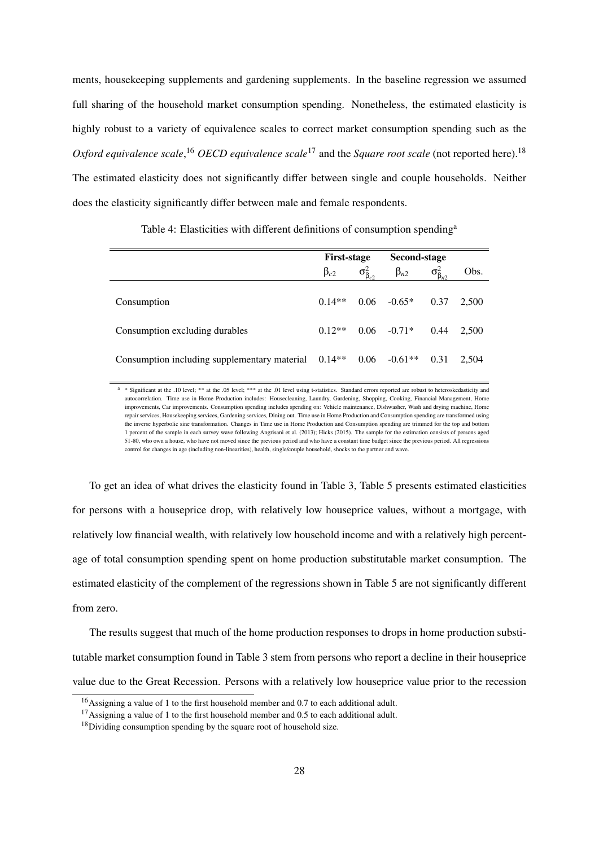ments, housekeeping supplements and gardening supplements. In the baseline regression we assumed full sharing of the household market consumption spending. Nonetheless, the estimated elasticity is highly robust to a variety of equivalence scales to correct market consumption spending such as the *Oxford equivalence scale*,<sup>16</sup> *OECD equivalence scale*<sup>17</sup> and the *Square root scale* (not reported here).<sup>18</sup> The estimated elasticity does not significantly differ between single and couple households. Neither does the elasticity significantly differ between male and female respondents.

|                                                                 | <b>First-stage</b> |                         | Second-stage         |                         |       |
|-----------------------------------------------------------------|--------------------|-------------------------|----------------------|-------------------------|-------|
|                                                                 | $\beta_{c2}$       | $\sigma_{\beta_{c2}}^2$ | $\beta_{n2}$         | $\sigma_{\beta_{n2}}^2$ | Obs.  |
| Consumption                                                     | $0.14**$           |                         | $0.06$ $-0.65*$ 0.37 |                         | 2.500 |
| Consumption excluding durables                                  | $0.12**$           |                         | $0.06 - 0.71*$       | 0.44                    | 2.500 |
| Consumption including supplementary material 0.14 <sup>**</sup> |                    |                         | $0.06 - 0.61**$      | 0.31                    | 2.504 |

Table 4: Elasticities with different definitions of consumption spending<sup>a</sup>

<sup>a</sup> \* Significant at the .10 level; \*\* at the .05 level; \*\*\* at the .01 level using t-statistics. Standard errors reported are robust to heteroskedasticity and autocorrelation. Time use in Home Production includes: Housecleaning, Laundry, Gardening, Shopping, Cooking, Financial Management, Home improvements, Car improvements. Consumption spending includes spending on: Vehicle maintenance, Dishwasher, Wash and drying machine, Home repair services, Housekeeping services, Gardening services, Dining out. Time use in Home Production and Consumption spending are transformed using the inverse hyperbolic sine transformation. Changes in Time use in Home Production and Consumption spending are trimmed for the top and bottom 1 percent of the sample in each survey wave following Angrisani et al. (2013); Hicks (2015). The sample for the estimation consists of persons aged 51-80, who own a house, who have not moved since the previous period and who have a constant time budget since the previous period. All regressions control for changes in age (including non-linearities), health, single/couple household, shocks to the partner and wave.

To get an idea of what drives the elasticity found in Table 3, Table 5 presents estimated elasticities for persons with a houseprice drop, with relatively low houseprice values, without a mortgage, with relatively low financial wealth, with relatively low household income and with a relatively high percentage of total consumption spending spent on home production substitutable market consumption. The estimated elasticity of the complement of the regressions shown in Table 5 are not significantly different from zero.

The results suggest that much of the home production responses to drops in home production substitutable market consumption found in Table 3 stem from persons who report a decline in their houseprice value due to the Great Recession. Persons with a relatively low houseprice value prior to the recession

<sup>&</sup>lt;sup>16</sup>Assigning a value of 1 to the first household member and 0.7 to each additional adult.

<sup>&</sup>lt;sup>17</sup>Assigning a value of 1 to the first household member and 0.5 to each additional adult.

<sup>&</sup>lt;sup>18</sup>Dividing consumption spending by the square root of household size.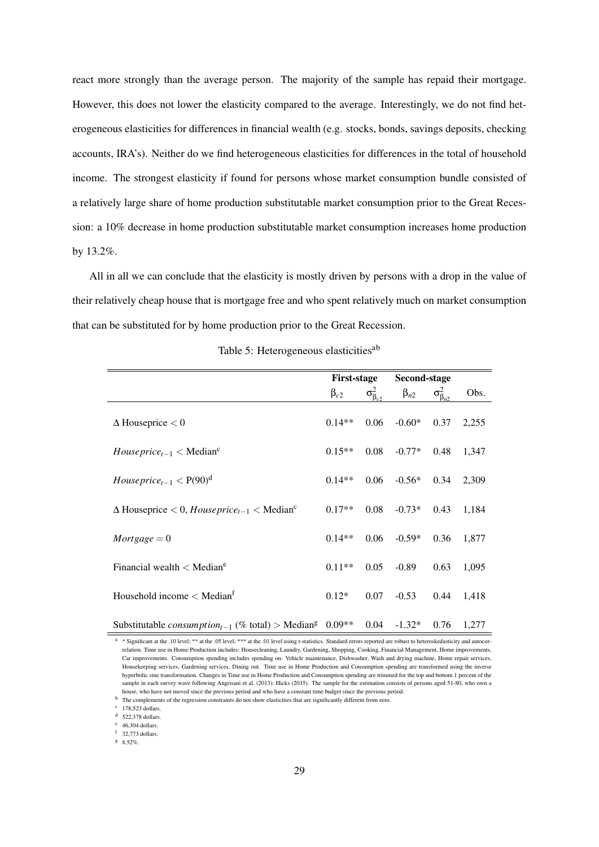react more strongly than the average person. The majority of the sample has repaid their mortgage. However, this does not lower the elasticity compared to the average. Interestingly, we do not find heterogeneous elasticities for differences in financial wealth (e.g. stocks, bonds, savings deposits, checking accounts, IRA's). Neither do we find heterogeneous elasticities for differences in the total of household income. The strongest elasticity if found for persons whose market consumption bundle consisted of a relatively large share of home production substitutable market consumption prior to the Great Recession: a 10% decrease in home production substitutable market consumption increases home production by 13.2%.

All in all we can conclude that the elasticity is mostly driven by persons with a drop in the value of their relatively cheap house that is mortgage free and who spent relatively much on market consumption that can be substituted for by home production prior to the Great Recession.

|                                                                                                    | <b>First-stage</b> |                         | Second-stage |                         |       |
|----------------------------------------------------------------------------------------------------|--------------------|-------------------------|--------------|-------------------------|-------|
|                                                                                                    | $\beta_{c2}$       | $\sigma_{\beta_{c2}}^2$ | $\beta_{n2}$ | $\sigma_{\beta_{n2}}^2$ | Obs.  |
| $\Delta$ Houseprice $< 0$                                                                          | $0.14**$           | 0.06                    | $-0.60*$     | 0.37                    | 2,255 |
| $Houseprice_{t-1} < Medianc$                                                                       | $0.15**$           | 0.08                    | $-0.77*$     | 0.48                    | 1,347 |
| House price <sub>t-1</sub> $<$ P(90) <sup>d</sup>                                                  | $0.14**$           | 0.06                    | $-0.56*$     | 0.34                    | 2,309 |
| $\Delta$ Houseprice $< 0$ , Houseprice <sub>t-1</sub> $<$ Median <sup>c</sup>                      | $0.17**$           | 0.08                    | $-0.73*$     | 0.43                    | 1,184 |
| $Mortgage = 0$                                                                                     | $0.14**$           | 0.06                    | $-0.59*$     | 0.36                    | 1,877 |
| Financial wealth $\langle$ Median <sup>e</sup>                                                     | $0.11**$           | 0.05                    | $-0.89$      | 0.63                    | 1,095 |
| Household income $<$ Median <sup>f</sup>                                                           | $0.12*$            | 0.07                    | $-0.53$      | 0.44                    | 1,418 |
| Substitutable <i>consumption</i> <sub>t-1</sub> (% total) > Median <sup>g</sup> 0.09 <sup>**</sup> |                    | 0.04                    | $-1.32*$     | 0.76                    | 1,277 |

Table 5: Heterogeneous elasticities<sup>ab</sup>

<sup>a</sup> \* Significant at the .10 level; \*\* at the .05 level; \*\*\* at the .01 level using t-statistics. Standard errors reported are robust to heteroskedasticity and autocorrelation. Time use in Home Production includes: Housecleaning, Laundry, Gardening, Shopping, Cooking, Financial Management, Home improvements, Car improvements. Consumption spending includes spending on: Vehicle maintenance, Dishwasher, Wash and drying machine, Home repair services, Housekeeping services, Gardening services, Dining out. Time use in Home Production and Consumption spending are transformed using the inverse hyperbolic sine transformation. Changes in Time use in Home Production and Consumption spending are trimmed for the top and bottom 1 percent of the sample in each survey wave following Angrisani et al. (2013); Hicks (2015). The sample for the estimation consists of persons aged 51-80, who own a house, who have not moved since the previous period and who have a constant time budget since the previous period.

 $c$  178,523 dollars.

 $d$  522,378 dollars.

<sup>e</sup> 46,304 dollars.

<sup>f</sup> 32,773 dollars.

 $8.52\%$ .

b The complements of the regression constraints do not show elasticities that are significantly different from zero.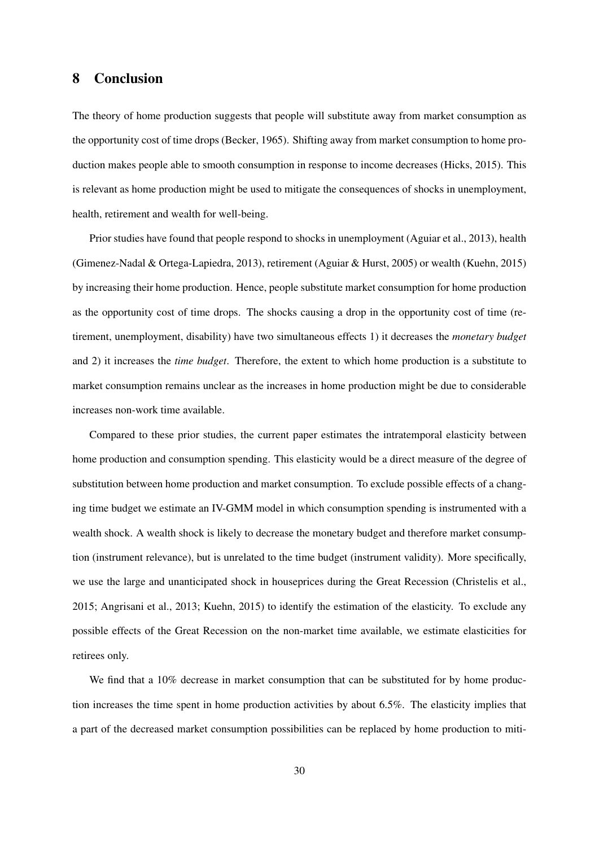# 8 Conclusion

The theory of home production suggests that people will substitute away from market consumption as the opportunity cost of time drops (Becker, 1965). Shifting away from market consumption to home production makes people able to smooth consumption in response to income decreases (Hicks, 2015). This is relevant as home production might be used to mitigate the consequences of shocks in unemployment, health, retirement and wealth for well-being.

Prior studies have found that people respond to shocks in unemployment (Aguiar et al., 2013), health (Gimenez-Nadal & Ortega-Lapiedra, 2013), retirement (Aguiar & Hurst, 2005) or wealth (Kuehn, 2015) by increasing their home production. Hence, people substitute market consumption for home production as the opportunity cost of time drops. The shocks causing a drop in the opportunity cost of time (retirement, unemployment, disability) have two simultaneous effects 1) it decreases the *monetary budget* and 2) it increases the *time budget*. Therefore, the extent to which home production is a substitute to market consumption remains unclear as the increases in home production might be due to considerable increases non-work time available.

Compared to these prior studies, the current paper estimates the intratemporal elasticity between home production and consumption spending. This elasticity would be a direct measure of the degree of substitution between home production and market consumption. To exclude possible effects of a changing time budget we estimate an IV-GMM model in which consumption spending is instrumented with a wealth shock. A wealth shock is likely to decrease the monetary budget and therefore market consumption (instrument relevance), but is unrelated to the time budget (instrument validity). More specifically, we use the large and unanticipated shock in houseprices during the Great Recession (Christelis et al., 2015; Angrisani et al., 2013; Kuehn, 2015) to identify the estimation of the elasticity. To exclude any possible effects of the Great Recession on the non-market time available, we estimate elasticities for retirees only.

We find that a 10% decrease in market consumption that can be substituted for by home production increases the time spent in home production activities by about 6.5%. The elasticity implies that a part of the decreased market consumption possibilities can be replaced by home production to miti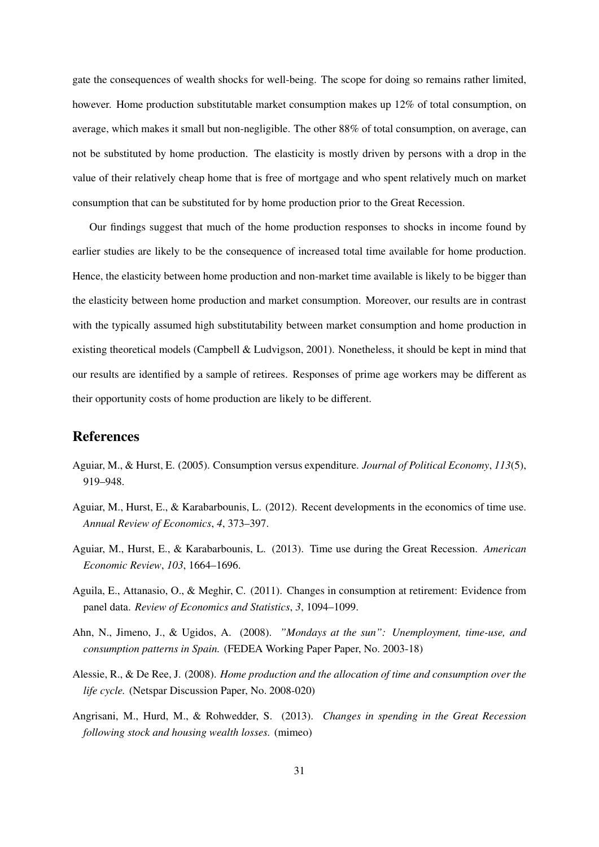gate the consequences of wealth shocks for well-being. The scope for doing so remains rather limited, however. Home production substitutable market consumption makes up 12% of total consumption, on average, which makes it small but non-negligible. The other 88% of total consumption, on average, can not be substituted by home production. The elasticity is mostly driven by persons with a drop in the value of their relatively cheap home that is free of mortgage and who spent relatively much on market consumption that can be substituted for by home production prior to the Great Recession.

Our findings suggest that much of the home production responses to shocks in income found by earlier studies are likely to be the consequence of increased total time available for home production. Hence, the elasticity between home production and non-market time available is likely to be bigger than the elasticity between home production and market consumption. Moreover, our results are in contrast with the typically assumed high substitutability between market consumption and home production in existing theoretical models (Campbell & Ludvigson, 2001). Nonetheless, it should be kept in mind that our results are identified by a sample of retirees. Responses of prime age workers may be different as their opportunity costs of home production are likely to be different.

## References

- Aguiar, M., & Hurst, E. (2005). Consumption versus expenditure. *Journal of Political Economy*, *113*(5), 919–948.
- Aguiar, M., Hurst, E., & Karabarbounis, L. (2012). Recent developments in the economics of time use. *Annual Review of Economics*, *4*, 373–397.
- Aguiar, M., Hurst, E., & Karabarbounis, L. (2013). Time use during the Great Recession. *American Economic Review*, *103*, 1664–1696.
- Aguila, E., Attanasio, O., & Meghir, C. (2011). Changes in consumption at retirement: Evidence from panel data. *Review of Economics and Statistics*, *3*, 1094–1099.
- Ahn, N., Jimeno, J., & Ugidos, A. (2008). *"Mondays at the sun": Unemployment, time-use, and consumption patterns in Spain.* (FEDEA Working Paper Paper, No. 2003-18)
- Alessie, R., & De Ree, J. (2008). *Home production and the allocation of time and consumption over the life cycle.* (Netspar Discussion Paper, No. 2008-020)
- Angrisani, M., Hurd, M., & Rohwedder, S. (2013). *Changes in spending in the Great Recession following stock and housing wealth losses.* (mimeo)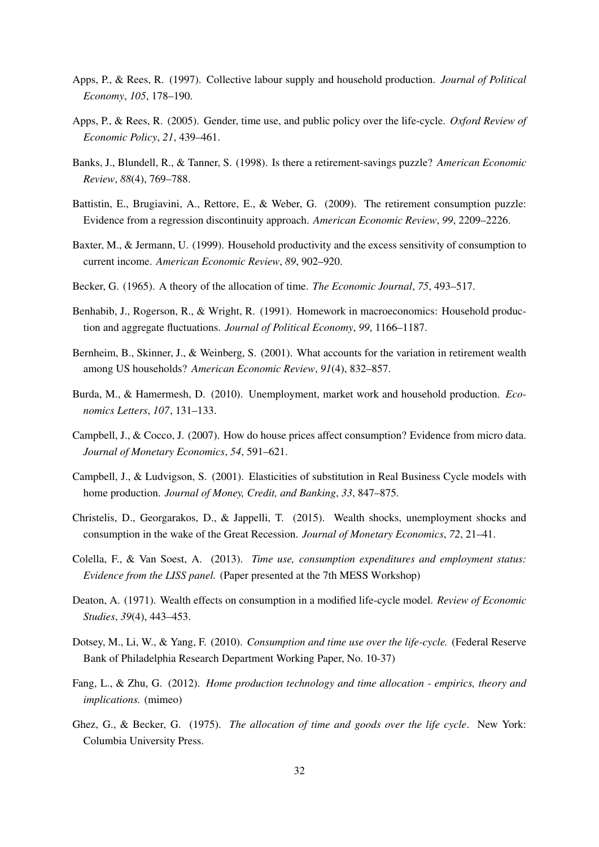- Apps, P., & Rees, R. (1997). Collective labour supply and household production. *Journal of Political Economy*, *105*, 178–190.
- Apps, P., & Rees, R. (2005). Gender, time use, and public policy over the life-cycle. *Oxford Review of Economic Policy*, *21*, 439–461.
- Banks, J., Blundell, R., & Tanner, S. (1998). Is there a retirement-savings puzzle? *American Economic Review*, *88*(4), 769–788.
- Battistin, E., Brugiavini, A., Rettore, E., & Weber, G. (2009). The retirement consumption puzzle: Evidence from a regression discontinuity approach. *American Economic Review*, *99*, 2209–2226.
- Baxter, M., & Jermann, U. (1999). Household productivity and the excess sensitivity of consumption to current income. *American Economic Review*, *89*, 902–920.
- Becker, G. (1965). A theory of the allocation of time. *The Economic Journal*, *75*, 493–517.
- Benhabib, J., Rogerson, R., & Wright, R. (1991). Homework in macroeconomics: Household production and aggregate fluctuations. *Journal of Political Economy*, *99*, 1166–1187.
- Bernheim, B., Skinner, J., & Weinberg, S. (2001). What accounts for the variation in retirement wealth among US households? *American Economic Review*, *91*(4), 832–857.
- Burda, M., & Hamermesh, D. (2010). Unemployment, market work and household production. *Economics Letters*, *107*, 131–133.
- Campbell, J., & Cocco, J. (2007). How do house prices affect consumption? Evidence from micro data. *Journal of Monetary Economics*, *54*, 591–621.
- Campbell, J., & Ludvigson, S. (2001). Elasticities of substitution in Real Business Cycle models with home production. *Journal of Money, Credit, and Banking*, *33*, 847–875.
- Christelis, D., Georgarakos, D., & Jappelli, T. (2015). Wealth shocks, unemployment shocks and consumption in the wake of the Great Recession. *Journal of Monetary Economics*, *72*, 21–41.
- Colella, F., & Van Soest, A. (2013). *Time use, consumption expenditures and employment status: Evidence from the LISS panel.* (Paper presented at the 7th MESS Workshop)
- Deaton, A. (1971). Wealth effects on consumption in a modified life-cycle model. *Review of Economic Studies*, *39*(4), 443–453.
- Dotsey, M., Li, W., & Yang, F. (2010). *Consumption and time use over the life-cycle.* (Federal Reserve Bank of Philadelphia Research Department Working Paper, No. 10-37)
- Fang, L., & Zhu, G. (2012). *Home production technology and time allocation empirics, theory and implications.* (mimeo)
- Ghez, G., & Becker, G. (1975). *The allocation of time and goods over the life cycle*. New York: Columbia University Press.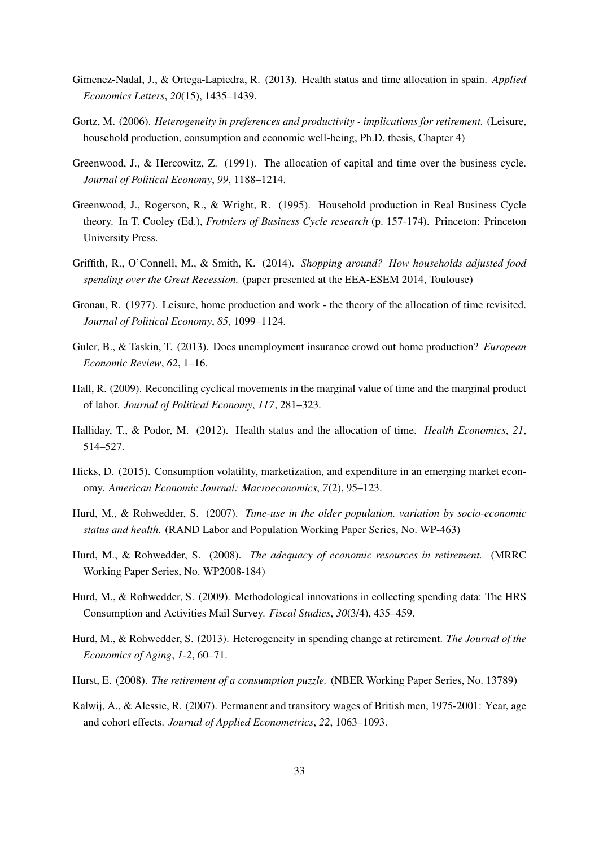- Gimenez-Nadal, J., & Ortega-Lapiedra, R. (2013). Health status and time allocation in spain. *Applied Economics Letters*, *20*(15), 1435–1439.
- Gortz, M. (2006). *Heterogeneity in preferences and productivity implications for retirement.* (Leisure, household production, consumption and economic well-being, Ph.D. thesis, Chapter 4)
- Greenwood, J., & Hercowitz, Z. (1991). The allocation of capital and time over the business cycle. *Journal of Political Economy*, *99*, 1188–1214.
- Greenwood, J., Rogerson, R., & Wright, R. (1995). Household production in Real Business Cycle theory. In T. Cooley (Ed.), *Frotniers of Business Cycle research* (p. 157-174). Princeton: Princeton University Press.
- Griffith, R., O'Connell, M., & Smith, K. (2014). *Shopping around? How households adjusted food spending over the Great Recession.* (paper presented at the EEA-ESEM 2014, Toulouse)
- Gronau, R. (1977). Leisure, home production and work the theory of the allocation of time revisited. *Journal of Political Economy*, *85*, 1099–1124.
- Guler, B., & Taskin, T. (2013). Does unemployment insurance crowd out home production? *European Economic Review*, *62*, 1–16.
- Hall, R. (2009). Reconciling cyclical movements in the marginal value of time and the marginal product of labor. *Journal of Political Economy*, *117*, 281–323.
- Halliday, T., & Podor, M. (2012). Health status and the allocation of time. *Health Economics*, *21*, 514–527.
- Hicks, D. (2015). Consumption volatility, marketization, and expenditure in an emerging market economy. *American Economic Journal: Macroeconomics*, *7*(2), 95–123.
- Hurd, M., & Rohwedder, S. (2007). *Time-use in the older population. variation by socio-economic status and health.* (RAND Labor and Population Working Paper Series, No. WP-463)
- Hurd, M., & Rohwedder, S. (2008). *The adequacy of economic resources in retirement.* (MRRC Working Paper Series, No. WP2008-184)
- Hurd, M., & Rohwedder, S. (2009). Methodological innovations in collecting spending data: The HRS Consumption and Activities Mail Survey. *Fiscal Studies*, *30*(3/4), 435–459.
- Hurd, M., & Rohwedder, S. (2013). Heterogeneity in spending change at retirement. *The Journal of the Economics of Aging*, *1-2*, 60–71.
- Hurst, E. (2008). *The retirement of a consumption puzzle.* (NBER Working Paper Series, No. 13789)
- Kalwij, A., & Alessie, R. (2007). Permanent and transitory wages of British men, 1975-2001: Year, age and cohort effects. *Journal of Applied Econometrics*, *22*, 1063–1093.